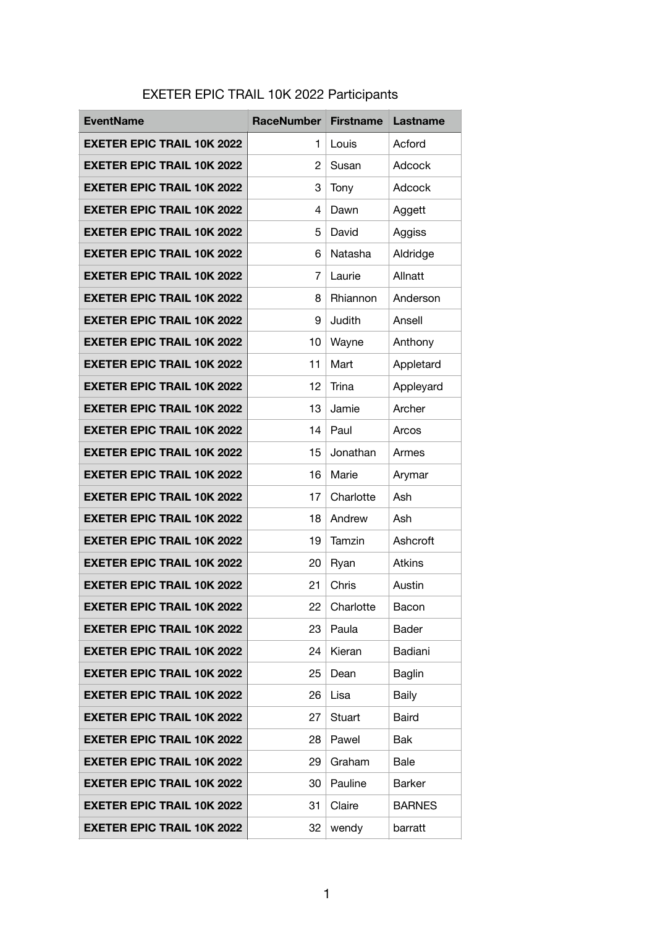| <b>EventName</b>                  | <b>RaceNumber</b> | <b>Firstname</b> | <b>Lastname</b> |
|-----------------------------------|-------------------|------------------|-----------------|
| <b>EXETER EPIC TRAIL 10K 2022</b> | 1                 | Louis            | Acford          |
| <b>EXETER EPIC TRAIL 10K 2022</b> | 2                 | Susan            | Adcock          |
| <b>EXETER EPIC TRAIL 10K 2022</b> | 3                 | Tony             | Adcock          |
| <b>EXETER EPIC TRAIL 10K 2022</b> | 4                 | Dawn             | Aggett          |
| <b>EXETER EPIC TRAIL 10K 2022</b> | 5                 | David            | Aggiss          |
| <b>EXETER EPIC TRAIL 10K 2022</b> | 6                 | Natasha          | Aldridge        |
| <b>EXETER EPIC TRAIL 10K 2022</b> | 7                 | Laurie           | Allnatt         |
| <b>EXETER EPIC TRAIL 10K 2022</b> | 8                 | Rhiannon         | Anderson        |
| <b>EXETER EPIC TRAIL 10K 2022</b> | 9                 | Judith           | Ansell          |
| <b>EXETER EPIC TRAIL 10K 2022</b> | 10                | Wayne            | Anthony         |
| <b>EXETER EPIC TRAIL 10K 2022</b> | 11                | Mart             | Appletard       |
| <b>EXETER EPIC TRAIL 10K 2022</b> | 12                | Trina            | Appleyard       |
| <b>EXETER EPIC TRAIL 10K 2022</b> | 13                | Jamie            | Archer          |
| <b>EXETER EPIC TRAIL 10K 2022</b> | 14                | Paul             | Arcos           |
| <b>EXETER EPIC TRAIL 10K 2022</b> | 15                | Jonathan         | Armes           |
| <b>EXETER EPIC TRAIL 10K 2022</b> | 16                | Marie            | Arymar          |
| <b>EXETER EPIC TRAIL 10K 2022</b> | 17                | Charlotte        | Ash             |
| <b>EXETER EPIC TRAIL 10K 2022</b> | 18                | Andrew           | Ash             |
| <b>EXETER EPIC TRAIL 10K 2022</b> | 19                | Tamzin           | Ashcroft        |
| <b>EXETER EPIC TRAIL 10K 2022</b> | 20                | Ryan             | <b>Atkins</b>   |
| <b>EXETER EPIC TRAIL 10K 2022</b> | 21                | Chris            | Austin          |
| <b>EXETER EPIC TRAIL 10K 2022</b> | 22                | Charlotte        | Bacon           |
| <b>EXETER EPIC TRAIL 10K 2022</b> | 23                | Paula            | Bader           |
| <b>EXETER EPIC TRAIL 10K 2022</b> | 24                | Kieran           | Badiani         |
| <b>EXETER EPIC TRAIL 10K 2022</b> | 25                | Dean             | <b>Baglin</b>   |
| <b>EXETER EPIC TRAIL 10K 2022</b> | 26                | Lisa             | Baily           |
| <b>EXETER EPIC TRAIL 10K 2022</b> | 27                | Stuart           | Baird           |
| <b>EXETER EPIC TRAIL 10K 2022</b> | 28                | Pawel            | Bak             |
| <b>EXETER EPIC TRAIL 10K 2022</b> | 29                | Graham           | <b>Bale</b>     |
| <b>EXETER EPIC TRAIL 10K 2022</b> | 30                | Pauline          | <b>Barker</b>   |
| <b>EXETER EPIC TRAIL 10K 2022</b> | 31                | Claire           | <b>BARNES</b>   |
| <b>EXETER EPIC TRAIL 10K 2022</b> | 32                | wendy            | barratt         |

## EXETER EPIC TRAIL 10K 2022 Participants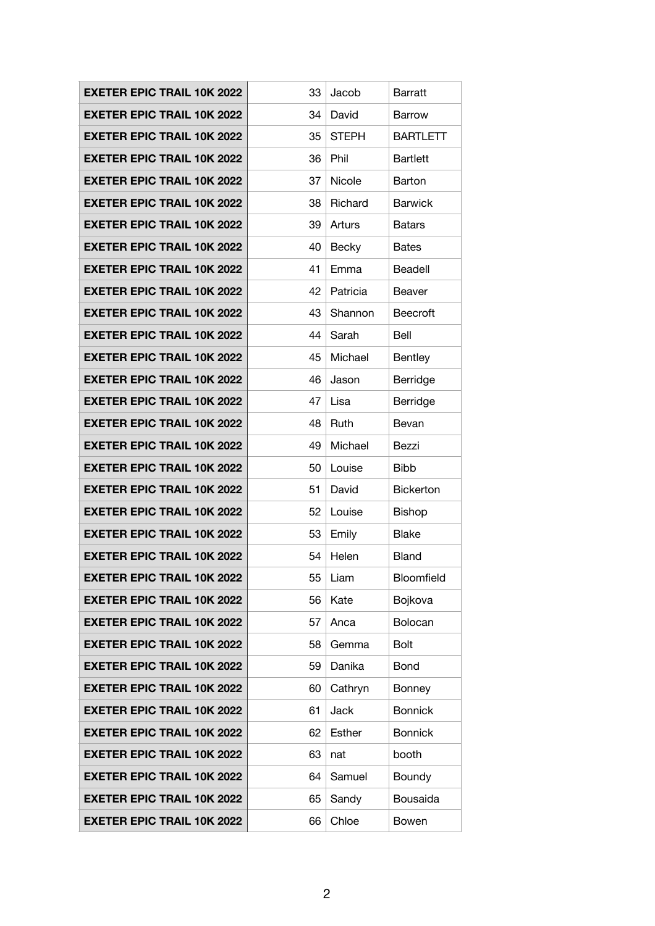| <b>EXETER EPIC TRAIL 10K 2022</b> | 33 | Jacob        | <b>Barratt</b>   |
|-----------------------------------|----|--------------|------------------|
| <b>EXETER EPIC TRAIL 10K 2022</b> | 34 | David        | <b>Barrow</b>    |
| <b>EXETER EPIC TRAIL 10K 2022</b> | 35 | <b>STEPH</b> | <b>BARTLETT</b>  |
| <b>EXETER EPIC TRAIL 10K 2022</b> | 36 | Phil         | <b>Bartlett</b>  |
| <b>EXETER EPIC TRAIL 10K 2022</b> | 37 | Nicole       | Barton           |
| <b>EXETER EPIC TRAIL 10K 2022</b> | 38 | Richard      | <b>Barwick</b>   |
| <b>EXETER EPIC TRAIL 10K 2022</b> | 39 | Arturs       | <b>Batars</b>    |
| <b>EXETER EPIC TRAIL 10K 2022</b> | 40 | Becky        | <b>Bates</b>     |
| <b>EXETER EPIC TRAIL 10K 2022</b> | 41 | Emma         | Beadell          |
| <b>EXETER EPIC TRAIL 10K 2022</b> | 42 | Patricia     | Beaver           |
| <b>EXETER EPIC TRAIL 10K 2022</b> | 43 | Shannon      | Beecroft         |
| <b>EXETER EPIC TRAIL 10K 2022</b> | 44 | Sarah        | Bell             |
| <b>EXETER EPIC TRAIL 10K 2022</b> | 45 | Michael      | Bentley          |
| <b>EXETER EPIC TRAIL 10K 2022</b> | 46 | Jason        | Berridge         |
| <b>EXETER EPIC TRAIL 10K 2022</b> | 47 | Lisa         | Berridge         |
| <b>EXETER EPIC TRAIL 10K 2022</b> | 48 | Ruth         | Bevan            |
| <b>EXETER EPIC TRAIL 10K 2022</b> | 49 | Michael      | Bezzi            |
| <b>EXETER EPIC TRAIL 10K 2022</b> | 50 | Louise       | <b>Bibb</b>      |
| <b>EXETER EPIC TRAIL 10K 2022</b> | 51 | David        | <b>Bickerton</b> |
| <b>EXETER EPIC TRAIL 10K 2022</b> | 52 | Louise       | <b>Bishop</b>    |
| <b>EXETER EPIC TRAIL 10K 2022</b> | 53 | Emily        | <b>Blake</b>     |
| <b>EXETER EPIC TRAIL 10K 2022</b> | 54 | Helen        | Bland            |
| <b>EXETER EPIC TRAIL 10K 2022</b> | 55 | Liam         | Bloomfield       |
| <b>EXETER EPIC TRAIL 10K 2022</b> | 56 | Kate         | Bojkova          |
| <b>EXETER EPIC TRAIL 10K 2022</b> | 57 | Anca         | <b>Bolocan</b>   |
| <b>EXETER EPIC TRAIL 10K 2022</b> | 58 | Gemma        | <b>Bolt</b>      |
| <b>EXETER EPIC TRAIL 10K 2022</b> | 59 | Danika       | <b>Bond</b>      |
| <b>EXETER EPIC TRAIL 10K 2022</b> | 60 | Cathryn      | <b>Bonney</b>    |
| <b>EXETER EPIC TRAIL 10K 2022</b> | 61 | <b>Jack</b>  | <b>Bonnick</b>   |
| <b>EXETER EPIC TRAIL 10K 2022</b> | 62 | Esther       | <b>Bonnick</b>   |
| <b>EXETER EPIC TRAIL 10K 2022</b> | 63 | nat          | booth            |
| <b>EXETER EPIC TRAIL 10K 2022</b> | 64 | Samuel       | Boundy           |
| <b>EXETER EPIC TRAIL 10K 2022</b> | 65 | Sandy        | Bousaida         |
| <b>EXETER EPIC TRAIL 10K 2022</b> | 66 | Chloe        | Bowen            |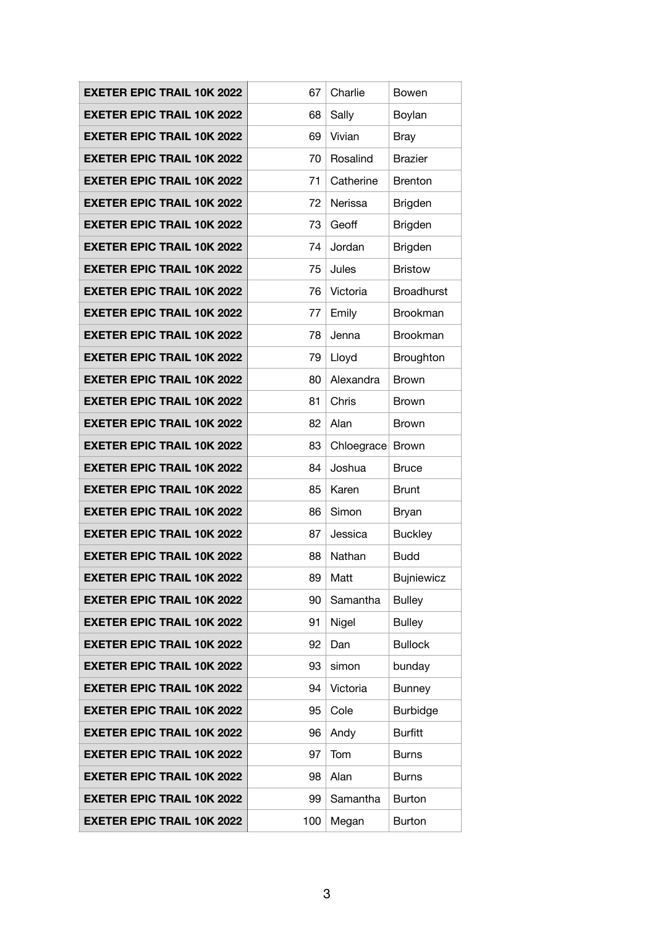| <b>EXETER EPIC TRAIL 10K 2022</b> | 67  | Charlie    | Bowen             |
|-----------------------------------|-----|------------|-------------------|
| <b>EXETER EPIC TRAIL 10K 2022</b> | 68  | Sally      | Boylan            |
| <b>EXETER EPIC TRAIL 10K 2022</b> | 69  | Vivian     | <b>Bray</b>       |
| <b>EXETER EPIC TRAIL 10K 2022</b> | 70  | Rosalind   | <b>Brazier</b>    |
| <b>EXETER EPIC TRAIL 10K 2022</b> | 71  | Catherine  | <b>Brenton</b>    |
| <b>EXETER EPIC TRAIL 10K 2022</b> | 72  | Nerissa    | <b>Brigden</b>    |
| <b>EXETER EPIC TRAIL 10K 2022</b> | 73  | Geoff      | <b>Brigden</b>    |
| <b>EXETER EPIC TRAIL 10K 2022</b> | 74  | Jordan     | <b>Brigden</b>    |
| <b>EXETER EPIC TRAIL 10K 2022</b> | 75  | Jules      | <b>Bristow</b>    |
| <b>EXETER EPIC TRAIL 10K 2022</b> | 76  | Victoria   | <b>Broadhurst</b> |
| <b>EXETER EPIC TRAIL 10K 2022</b> | 77  | Emily      | Brookman          |
| <b>EXETER EPIC TRAIL 10K 2022</b> | 78  | Jenna      | Brookman          |
| <b>EXETER EPIC TRAIL 10K 2022</b> | 79  | Lloyd      | Broughton         |
| <b>EXETER EPIC TRAIL 10K 2022</b> | 80  | Alexandra  | <b>Brown</b>      |
| <b>EXETER EPIC TRAIL 10K 2022</b> | 81  | Chris      | <b>Brown</b>      |
| <b>EXETER EPIC TRAIL 10K 2022</b> | 82  | Alan       | <b>Brown</b>      |
| <b>EXETER EPIC TRAIL 10K 2022</b> | 83  | Chloegrace | <b>Brown</b>      |
| <b>EXETER EPIC TRAIL 10K 2022</b> | 84  | Joshua     | <b>Bruce</b>      |
| <b>EXETER EPIC TRAIL 10K 2022</b> | 85  | Karen      | <b>Brunt</b>      |
| <b>EXETER EPIC TRAIL 10K 2022</b> | 86  | Simon      | Bryan             |
| <b>EXETER EPIC TRAIL 10K 2022</b> | 87  | Jessica    | <b>Buckley</b>    |
| <b>EXETER EPIC TRAIL 10K 2022</b> | 88  | Nathan     | <b>Budd</b>       |
| <b>EXETER EPIC TRAIL 10K 2022</b> | 89  | Matt       | <b>Bujniewicz</b> |
| <b>EXETER EPIC TRAIL 10K 2022</b> | 90  | Samantha   | <b>Bulley</b>     |
| <b>EXETER EPIC TRAIL 10K 2022</b> | 91  | Nigel      | <b>Bulley</b>     |
| <b>EXETER EPIC TRAIL 10K 2022</b> | 92  | Dan        | <b>Bullock</b>    |
| <b>EXETER EPIC TRAIL 10K 2022</b> | 93  | simon      | bunday            |
| <b>EXETER EPIC TRAIL 10K 2022</b> | 94  | Victoria   | <b>Bunney</b>     |
| <b>EXETER EPIC TRAIL 10K 2022</b> | 95  | Cole       | <b>Burbidge</b>   |
| <b>EXETER EPIC TRAIL 10K 2022</b> | 96  | Andy       | <b>Burfitt</b>    |
| <b>EXETER EPIC TRAIL 10K 2022</b> | 97  | Tom        | <b>Burns</b>      |
| <b>EXETER EPIC TRAIL 10K 2022</b> | 98  | Alan       | <b>Burns</b>      |
| <b>EXETER EPIC TRAIL 10K 2022</b> | 99  | Samantha   | <b>Burton</b>     |
| <b>EXETER EPIC TRAIL 10K 2022</b> | 100 | Megan      | <b>Burton</b>     |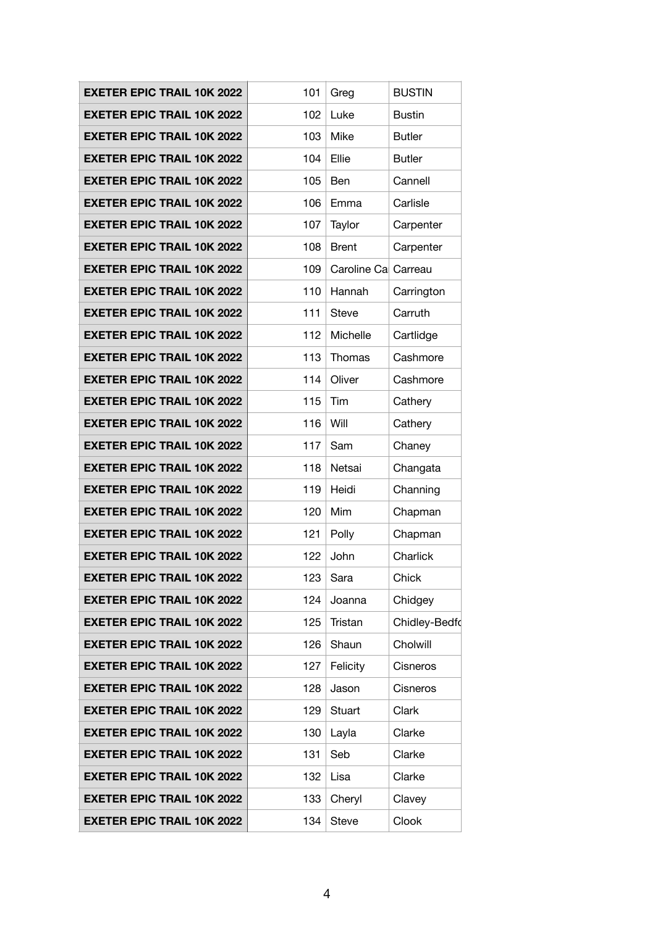| <b>EXETER EPIC TRAIL 10K 2022</b> | 101 | Greg                | <b>BUSTIN</b> |
|-----------------------------------|-----|---------------------|---------------|
| <b>EXETER EPIC TRAIL 10K 2022</b> | 102 | Luke                | <b>Bustin</b> |
| <b>EXETER EPIC TRAIL 10K 2022</b> | 103 | Mike                | <b>Butler</b> |
| <b>EXETER EPIC TRAIL 10K 2022</b> | 104 | Ellie               | <b>Butler</b> |
| <b>EXETER EPIC TRAIL 10K 2022</b> | 105 | <b>Ben</b>          | Cannell       |
| <b>EXETER EPIC TRAIL 10K 2022</b> | 106 | Emma                | Carlisle      |
| <b>EXETER EPIC TRAIL 10K 2022</b> | 107 | Taylor              | Carpenter     |
| <b>EXETER EPIC TRAIL 10K 2022</b> | 108 | <b>Brent</b>        | Carpenter     |
| <b>EXETER EPIC TRAIL 10K 2022</b> | 109 | Caroline Ca Carreau |               |
| <b>EXETER EPIC TRAIL 10K 2022</b> | 110 | Hannah              | Carrington    |
| <b>EXETER EPIC TRAIL 10K 2022</b> | 111 | <b>Steve</b>        | Carruth       |
| <b>EXETER EPIC TRAIL 10K 2022</b> | 112 | Michelle            | Cartlidge     |
| <b>EXETER EPIC TRAIL 10K 2022</b> | 113 | Thomas              | Cashmore      |
| <b>EXETER EPIC TRAIL 10K 2022</b> | 114 | Oliver              | Cashmore      |
| <b>EXETER EPIC TRAIL 10K 2022</b> | 115 | Tim                 | Cathery       |
| <b>EXETER EPIC TRAIL 10K 2022</b> | 116 | Will                | Cathery       |
| <b>EXETER EPIC TRAIL 10K 2022</b> | 117 | Sam                 | Chaney        |
| <b>EXETER EPIC TRAIL 10K 2022</b> | 118 | Netsai              | Changata      |
| <b>EXETER EPIC TRAIL 10K 2022</b> | 119 | Heidi               | Channing      |
| <b>EXETER EPIC TRAIL 10K 2022</b> | 120 | Mim                 | Chapman       |
| <b>EXETER EPIC TRAIL 10K 2022</b> | 121 | Polly               | Chapman       |
| <b>EXETER EPIC TRAIL 10K 2022</b> | 122 | John                | Charlick      |
| <b>EXETER EPIC TRAIL 10K 2022</b> | 123 | Sara                | Chick         |
| <b>EXETER EPIC TRAIL 10K 2022</b> | 124 | Joanna              | Chidgey       |
| <b>EXETER EPIC TRAIL 10K 2022</b> | 125 | Tristan             | Chidley-Bedfo |
| <b>EXETER EPIC TRAIL 10K 2022</b> | 126 | Shaun               | Cholwill      |
| <b>EXETER EPIC TRAIL 10K 2022</b> | 127 | Felicity            | Cisneros      |
| <b>EXETER EPIC TRAIL 10K 2022</b> | 128 | Jason               | Cisneros      |
| <b>EXETER EPIC TRAIL 10K 2022</b> | 129 | Stuart              | Clark         |
| <b>EXETER EPIC TRAIL 10K 2022</b> | 130 | Layla               | Clarke        |
| <b>EXETER EPIC TRAIL 10K 2022</b> | 131 | Seb                 | Clarke        |
| <b>EXETER EPIC TRAIL 10K 2022</b> | 132 | Lisa                | Clarke        |
| <b>EXETER EPIC TRAIL 10K 2022</b> | 133 | Cheryl              | Clavey        |
| <b>EXETER EPIC TRAIL 10K 2022</b> | 134 | <b>Steve</b>        | Clook         |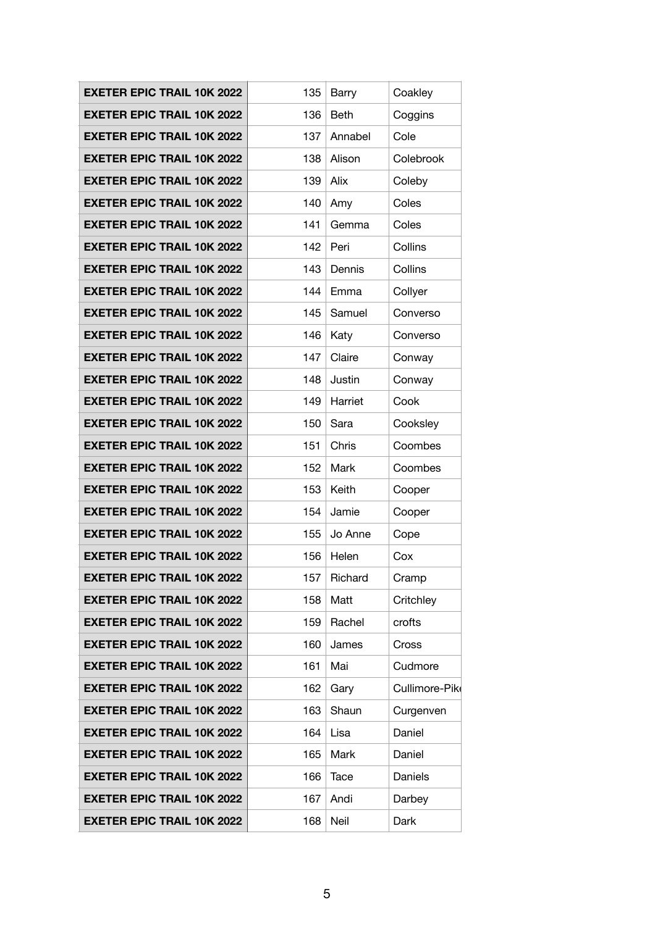| <b>EXETER EPIC TRAIL 10K 2022</b> | 135 | Barry       | Coakley        |
|-----------------------------------|-----|-------------|----------------|
| <b>EXETER EPIC TRAIL 10K 2022</b> | 136 | <b>Beth</b> | Coggins        |
| <b>EXETER EPIC TRAIL 10K 2022</b> | 137 | Annabel     | Cole           |
| <b>EXETER EPIC TRAIL 10K 2022</b> | 138 | Alison      | Colebrook      |
| <b>EXETER EPIC TRAIL 10K 2022</b> | 139 | Alix        | Coleby         |
| <b>EXETER EPIC TRAIL 10K 2022</b> | 140 | Amy         | Coles          |
| <b>EXETER EPIC TRAIL 10K 2022</b> | 141 | Gemma       | Coles          |
| <b>EXETER EPIC TRAIL 10K 2022</b> | 142 | Peri        | Collins        |
| <b>EXETER EPIC TRAIL 10K 2022</b> | 143 | Dennis      | Collins        |
| <b>EXETER EPIC TRAIL 10K 2022</b> | 144 | Emma        | Collyer        |
| <b>EXETER EPIC TRAIL 10K 2022</b> | 145 | Samuel      | Converso       |
| <b>EXETER EPIC TRAIL 10K 2022</b> | 146 | Katy        | Converso       |
| <b>EXETER EPIC TRAIL 10K 2022</b> | 147 | Claire      | Conway         |
| <b>EXETER EPIC TRAIL 10K 2022</b> | 148 | Justin      | Conway         |
| <b>EXETER EPIC TRAIL 10K 2022</b> | 149 | Harriet     | Cook           |
| <b>EXETER EPIC TRAIL 10K 2022</b> | 150 | Sara        | Cooksley       |
| <b>EXETER EPIC TRAIL 10K 2022</b> | 151 | Chris       | Coombes        |
| <b>EXETER EPIC TRAIL 10K 2022</b> | 152 | Mark        | Coombes        |
| <b>EXETER EPIC TRAIL 10K 2022</b> | 153 | Keith       | Cooper         |
| <b>EXETER EPIC TRAIL 10K 2022</b> | 154 | Jamie       | Cooper         |
| <b>EXETER EPIC TRAIL 10K 2022</b> | 155 | Jo Anne     | Cope           |
| <b>EXETER EPIC TRAIL 10K 2022</b> | 156 | Helen       | Cox            |
| <b>EXETER EPIC TRAIL 10K 2022</b> | 157 | Richard     | Cramp          |
| <b>EXETER EPIC TRAIL 10K 2022</b> | 158 | Matt        | Critchley      |
| <b>EXETER EPIC TRAIL 10K 2022</b> | 159 | Rachel      | crofts         |
| <b>EXETER EPIC TRAIL 10K 2022</b> | 160 | James       | <b>Cross</b>   |
| <b>EXETER EPIC TRAIL 10K 2022</b> | 161 | Mai         | Cudmore        |
| <b>EXETER EPIC TRAIL 10K 2022</b> | 162 | Gary        | Cullimore-Pike |
| <b>EXETER EPIC TRAIL 10K 2022</b> | 163 | Shaun       | Curgenven      |
| <b>EXETER EPIC TRAIL 10K 2022</b> | 164 | Lisa        | Daniel         |
| <b>EXETER EPIC TRAIL 10K 2022</b> | 165 | Mark        | Daniel         |
| <b>EXETER EPIC TRAIL 10K 2022</b> | 166 | Tace        | Daniels        |
| <b>EXETER EPIC TRAIL 10K 2022</b> | 167 | Andi        | Darbey         |
| <b>EXETER EPIC TRAIL 10K 2022</b> | 168 | Neil        | Dark           |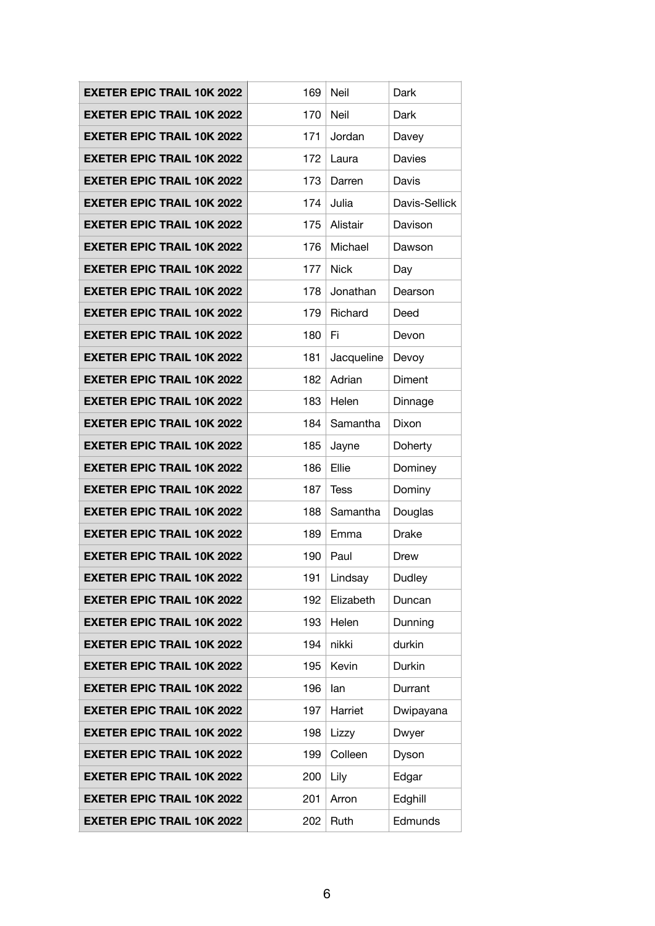| <b>EXETER EPIC TRAIL 10K 2022</b> | 169 | Neil        | Dark          |
|-----------------------------------|-----|-------------|---------------|
| <b>EXETER EPIC TRAIL 10K 2022</b> | 170 | Neil        | Dark          |
| <b>EXETER EPIC TRAIL 10K 2022</b> | 171 | Jordan      | Davey         |
| <b>EXETER EPIC TRAIL 10K 2022</b> | 172 | Laura       | Davies        |
| <b>EXETER EPIC TRAIL 10K 2022</b> | 173 | Darren      | Davis         |
| <b>EXETER EPIC TRAIL 10K 2022</b> | 174 | Julia       | Davis-Sellick |
| <b>EXETER EPIC TRAIL 10K 2022</b> | 175 | Alistair    | Davison       |
| <b>EXETER EPIC TRAIL 10K 2022</b> | 176 | Michael     | Dawson        |
| <b>EXETER EPIC TRAIL 10K 2022</b> | 177 | <b>Nick</b> | Day           |
| <b>EXETER EPIC TRAIL 10K 2022</b> | 178 | Jonathan    | Dearson       |
| <b>EXETER EPIC TRAIL 10K 2022</b> | 179 | Richard     | Deed          |
| <b>EXETER EPIC TRAIL 10K 2022</b> | 180 | Fi          | Devon         |
| <b>EXETER EPIC TRAIL 10K 2022</b> | 181 | Jacqueline  | Devoy         |
| <b>EXETER EPIC TRAIL 10K 2022</b> | 182 | Adrian      | Diment        |
| <b>EXETER EPIC TRAIL 10K 2022</b> | 183 | Helen       | Dinnage       |
| <b>EXETER EPIC TRAIL 10K 2022</b> | 184 | Samantha    | Dixon         |
| <b>EXETER EPIC TRAIL 10K 2022</b> | 185 | Jayne       | Doherty       |
| <b>EXETER EPIC TRAIL 10K 2022</b> | 186 | Ellie       | Dominey       |
| <b>EXETER EPIC TRAIL 10K 2022</b> | 187 | <b>Tess</b> | Dominy        |
| <b>EXETER EPIC TRAIL 10K 2022</b> | 188 | Samantha    | Douglas       |
| <b>EXETER EPIC TRAIL 10K 2022</b> | 189 | Emma        | <b>Drake</b>  |
| <b>EXETER EPIC TRAIL 10K 2022</b> | 190 | Paul        | Drew          |
| <b>EXETER EPIC TRAIL 10K 2022</b> | 191 | Lindsay     | Dudley        |
| <b>EXETER EPIC TRAIL 10K 2022</b> | 192 | Elizabeth   | Duncan        |
| <b>EXETER EPIC TRAIL 10K 2022</b> | 193 | Helen       | Dunning       |
| <b>EXETER EPIC TRAIL 10K 2022</b> | 194 | nikki       | durkin        |
| <b>EXETER EPIC TRAIL 10K 2022</b> | 195 | Kevin       | Durkin        |
| <b>EXETER EPIC TRAIL 10K 2022</b> | 196 | lan         | Durrant       |
| <b>EXETER EPIC TRAIL 10K 2022</b> | 197 | Harriet     | Dwipayana     |
| <b>EXETER EPIC TRAIL 10K 2022</b> | 198 | Lizzy       | Dwyer         |
| <b>EXETER EPIC TRAIL 10K 2022</b> | 199 | Colleen     | Dyson         |
| <b>EXETER EPIC TRAIL 10K 2022</b> | 200 | Lily        | Edgar         |
| <b>EXETER EPIC TRAIL 10K 2022</b> | 201 | Arron       | Edghill       |
| <b>EXETER EPIC TRAIL 10K 2022</b> | 202 | Ruth        | Edmunds       |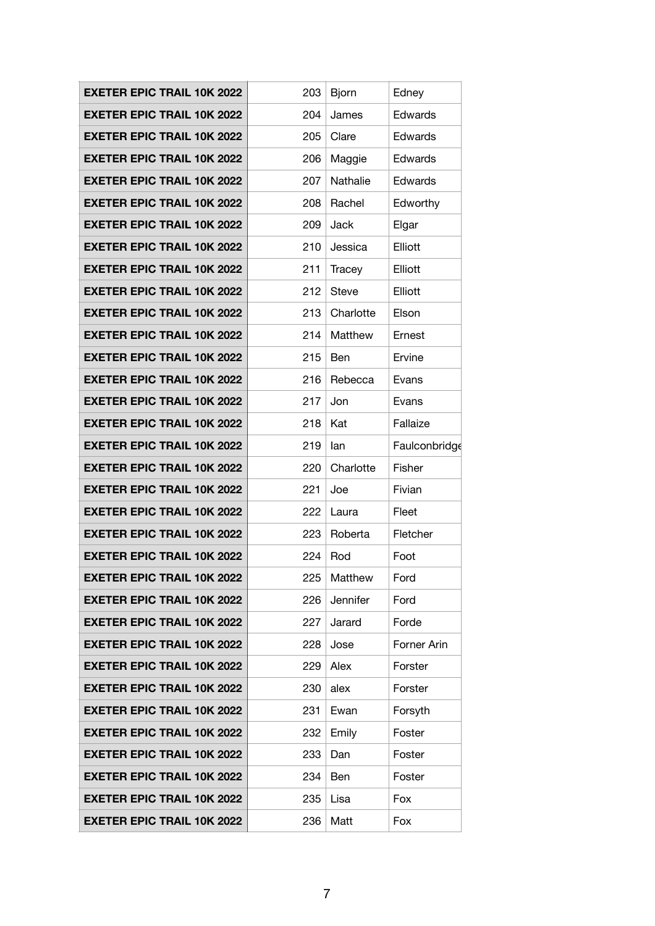| <b>EXETER EPIC TRAIL 10K 2022</b> | 203 | <b>Bjorn</b> | Edney         |
|-----------------------------------|-----|--------------|---------------|
| <b>EXETER EPIC TRAIL 10K 2022</b> | 204 | James        | Edwards       |
| <b>EXETER EPIC TRAIL 10K 2022</b> | 205 | Clare        | Edwards       |
| <b>EXETER EPIC TRAIL 10K 2022</b> | 206 | Maggie       | Edwards       |
| <b>EXETER EPIC TRAIL 10K 2022</b> | 207 | Nathalie     | Edwards       |
| <b>EXETER EPIC TRAIL 10K 2022</b> | 208 | Rachel       | Edworthy      |
| <b>EXETER EPIC TRAIL 10K 2022</b> | 209 | Jack         | Elgar         |
| <b>EXETER EPIC TRAIL 10K 2022</b> | 210 | Jessica      | Elliott       |
| <b>EXETER EPIC TRAIL 10K 2022</b> | 211 | Tracey       | Elliott       |
| <b>EXETER EPIC TRAIL 10K 2022</b> | 212 | <b>Steve</b> | Elliott       |
| <b>EXETER EPIC TRAIL 10K 2022</b> | 213 | Charlotte    | Elson         |
| <b>EXETER EPIC TRAIL 10K 2022</b> | 214 | Matthew      | Ernest        |
| <b>EXETER EPIC TRAIL 10K 2022</b> | 215 | <b>Ben</b>   | Ervine        |
| <b>EXETER EPIC TRAIL 10K 2022</b> | 216 | Rebecca      | Evans         |
| <b>EXETER EPIC TRAIL 10K 2022</b> | 217 | Jon          | Evans         |
| <b>EXETER EPIC TRAIL 10K 2022</b> | 218 | Kat          | Fallaize      |
| <b>EXETER EPIC TRAIL 10K 2022</b> | 219 | lan          | Faulconbridge |
| <b>EXETER EPIC TRAIL 10K 2022</b> | 220 | Charlotte    | Fisher        |
| <b>EXETER EPIC TRAIL 10K 2022</b> | 221 | Joe          | Fivian        |
| <b>EXETER EPIC TRAIL 10K 2022</b> | 222 | Laura        | Fleet         |
| <b>EXETER EPIC TRAIL 10K 2022</b> | 223 | Roberta      | Fletcher      |
| <b>EXETER EPIC TRAIL 10K 2022</b> | 224 | Rod          | Foot          |
| <b>EXETER EPIC TRAIL 10K 2022</b> | 225 | Matthew      | Ford          |
| <b>EXETER EPIC TRAIL 10K 2022</b> | 226 | Jennifer     | Ford          |
| <b>EXETER EPIC TRAIL 10K 2022</b> | 227 | Jarard       | Forde         |
| <b>EXETER EPIC TRAIL 10K 2022</b> | 228 | Jose         | Forner Arin   |
| <b>EXETER EPIC TRAIL 10K 2022</b> | 229 | Alex         | Forster       |
| <b>EXETER EPIC TRAIL 10K 2022</b> | 230 | alex         | Forster       |
| <b>EXETER EPIC TRAIL 10K 2022</b> | 231 | Ewan         | Forsyth       |
| <b>EXETER EPIC TRAIL 10K 2022</b> | 232 | Emily        | Foster        |
| <b>EXETER EPIC TRAIL 10K 2022</b> | 233 | Dan          | Foster        |
| <b>EXETER EPIC TRAIL 10K 2022</b> | 234 | Ben          | Foster        |
| <b>EXETER EPIC TRAIL 10K 2022</b> | 235 | Lisa         | Fox           |
| <b>EXETER EPIC TRAIL 10K 2022</b> | 236 | Matt         | Fox           |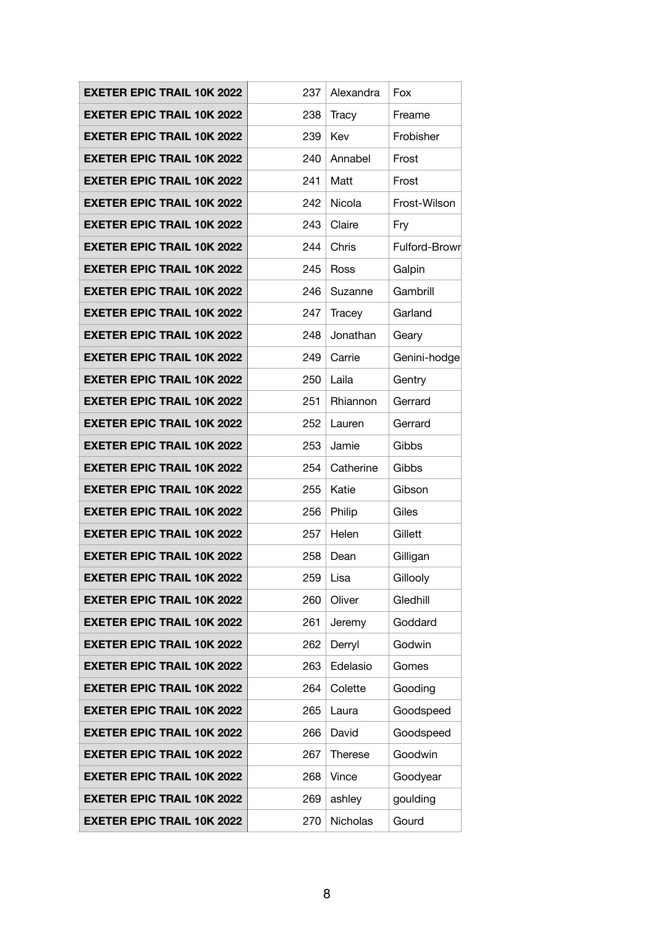| <b>EXETER EPIC TRAIL 10K 2022</b> | 237 | Alexandra      | Fox           |
|-----------------------------------|-----|----------------|---------------|
| <b>EXETER EPIC TRAIL 10K 2022</b> | 238 | Tracy          | Freame        |
| <b>EXETER EPIC TRAIL 10K 2022</b> | 239 | Kev            | Frobisher     |
| <b>EXETER EPIC TRAIL 10K 2022</b> | 240 | Annabel        | Frost         |
| <b>EXETER EPIC TRAIL 10K 2022</b> | 241 | Matt           | Frost         |
| <b>EXETER EPIC TRAIL 10K 2022</b> | 242 | Nicola         | Frost-Wilson  |
| <b>EXETER EPIC TRAIL 10K 2022</b> | 243 | Claire         | Fry           |
| <b>EXETER EPIC TRAIL 10K 2022</b> | 244 | Chris          | Fulford-Browr |
| <b>EXETER EPIC TRAIL 10K 2022</b> | 245 | Ross           | Galpin        |
| <b>EXETER EPIC TRAIL 10K 2022</b> | 246 | Suzanne        | Gambrill      |
| <b>EXETER EPIC TRAIL 10K 2022</b> | 247 | Tracey         | Garland       |
| <b>EXETER EPIC TRAIL 10K 2022</b> | 248 | Jonathan       | Geary         |
| <b>EXETER EPIC TRAIL 10K 2022</b> | 249 | Carrie         | Genini-hodge  |
| <b>EXETER EPIC TRAIL 10K 2022</b> | 250 | Laila          | Gentry        |
| <b>EXETER EPIC TRAIL 10K 2022</b> | 251 | Rhiannon       | Gerrard       |
| <b>EXETER EPIC TRAIL 10K 2022</b> | 252 | Lauren         | Gerrard       |
| <b>EXETER EPIC TRAIL 10K 2022</b> | 253 | Jamie          | Gibbs         |
| <b>EXETER EPIC TRAIL 10K 2022</b> | 254 | Catherine      | Gibbs         |
| <b>EXETER EPIC TRAIL 10K 2022</b> | 255 | Katie          | Gibson        |
| <b>EXETER EPIC TRAIL 10K 2022</b> | 256 | Philip         | Giles         |
| <b>EXETER EPIC TRAIL 10K 2022</b> | 257 | Helen          | Gillett       |
| <b>EXETER EPIC TRAIL 10K 2022</b> | 258 | Dean           | Gilligan      |
| <b>EXETER EPIC TRAIL 10K 2022</b> | 259 | Lisa           | Gillooly      |
| <b>EXETER EPIC TRAIL 10K 2022</b> | 260 | Oliver         | Gledhill      |
| <b>EXETER EPIC TRAIL 10K 2022</b> | 261 | Jeremy         | Goddard       |
| <b>EXETER EPIC TRAIL 10K 2022</b> | 262 | Derryl         | Godwin        |
| <b>EXETER EPIC TRAIL 10K 2022</b> | 263 | Edelasio       | Gomes         |
| <b>EXETER EPIC TRAIL 10K 2022</b> | 264 | Colette        | Gooding       |
| <b>EXETER EPIC TRAIL 10K 2022</b> | 265 | Laura          | Goodspeed     |
| <b>EXETER EPIC TRAIL 10K 2022</b> | 266 | David          | Goodspeed     |
| <b>EXETER EPIC TRAIL 10K 2022</b> | 267 | <b>Therese</b> | Goodwin       |
| <b>EXETER EPIC TRAIL 10K 2022</b> | 268 | Vince          | Goodyear      |
| <b>EXETER EPIC TRAIL 10K 2022</b> | 269 | ashley         | goulding      |
| <b>EXETER EPIC TRAIL 10K 2022</b> | 270 | Nicholas       | Gourd         |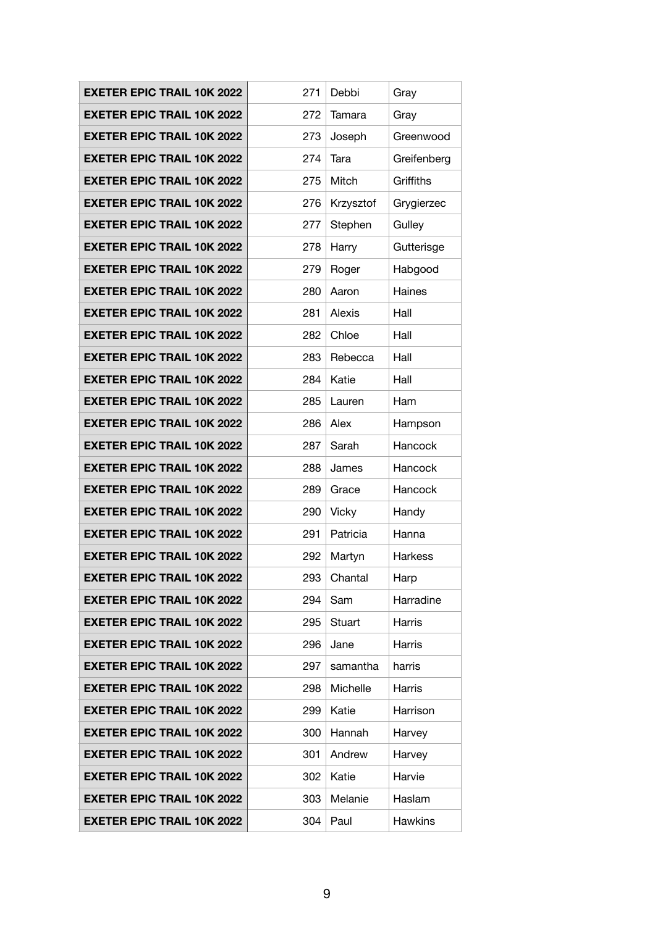| <b>EXETER EPIC TRAIL 10K 2022</b> | 271 | Debbi        | Gray           |
|-----------------------------------|-----|--------------|----------------|
| <b>EXETER EPIC TRAIL 10K 2022</b> | 272 | Tamara       | Gray           |
| <b>EXETER EPIC TRAIL 10K 2022</b> | 273 | Joseph       | Greenwood      |
| <b>EXETER EPIC TRAIL 10K 2022</b> | 274 | Tara         | Greifenberg    |
| <b>EXETER EPIC TRAIL 10K 2022</b> | 275 | Mitch        | Griffiths      |
| <b>EXETER EPIC TRAIL 10K 2022</b> | 276 | Krzysztof    | Grygierzec     |
| <b>EXETER EPIC TRAIL 10K 2022</b> | 277 | Stephen      | Gulley         |
| <b>EXETER EPIC TRAIL 10K 2022</b> | 278 | Harry        | Gutterisge     |
| <b>EXETER EPIC TRAIL 10K 2022</b> | 279 | Roger        | Habgood        |
| <b>EXETER EPIC TRAIL 10K 2022</b> | 280 | Aaron        | Haines         |
| <b>EXETER EPIC TRAIL 10K 2022</b> | 281 | Alexis       | Hall           |
| <b>EXETER EPIC TRAIL 10K 2022</b> | 282 | Chloe        | Hall           |
| <b>EXETER EPIC TRAIL 10K 2022</b> | 283 | Rebecca      | Hall           |
| <b>EXETER EPIC TRAIL 10K 2022</b> | 284 | Katie        | Hall           |
| <b>EXETER EPIC TRAIL 10K 2022</b> | 285 | Lauren       | Ham            |
| <b>EXETER EPIC TRAIL 10K 2022</b> | 286 | Alex         | Hampson        |
| <b>EXETER EPIC TRAIL 10K 2022</b> | 287 | Sarah        | Hancock        |
| <b>EXETER EPIC TRAIL 10K 2022</b> | 288 | James        | Hancock        |
| <b>EXETER EPIC TRAIL 10K 2022</b> | 289 | Grace        | Hancock        |
| <b>EXETER EPIC TRAIL 10K 2022</b> | 290 | <b>Vicky</b> | Handy          |
| <b>EXETER EPIC TRAIL 10K 2022</b> | 291 | Patricia     | Hanna          |
| <b>EXETER EPIC TRAIL 10K 2022</b> | 292 | Martyn       | <b>Harkess</b> |
| <b>EXETER EPIC TRAIL 10K 2022</b> | 293 | Chantal      | Harp           |
| <b>EXETER EPIC TRAIL 10K 2022</b> | 294 | Sam          | Harradine      |
| <b>EXETER EPIC TRAIL 10K 2022</b> | 295 | Stuart       | Harris         |
| <b>EXETER EPIC TRAIL 10K 2022</b> | 296 | Jane         | Harris         |
| <b>EXETER EPIC TRAIL 10K 2022</b> | 297 | samantha     | harris         |
| <b>EXETER EPIC TRAIL 10K 2022</b> | 298 | Michelle     | Harris         |
| <b>EXETER EPIC TRAIL 10K 2022</b> | 299 | Katie        | Harrison       |
| <b>EXETER EPIC TRAIL 10K 2022</b> | 300 | Hannah       | Harvey         |
| <b>EXETER EPIC TRAIL 10K 2022</b> | 301 | Andrew       | Harvey         |
| <b>EXETER EPIC TRAIL 10K 2022</b> | 302 | Katie        | Harvie         |
| <b>EXETER EPIC TRAIL 10K 2022</b> | 303 | Melanie      | Haslam         |
| <b>EXETER EPIC TRAIL 10K 2022</b> | 304 | Paul         | <b>Hawkins</b> |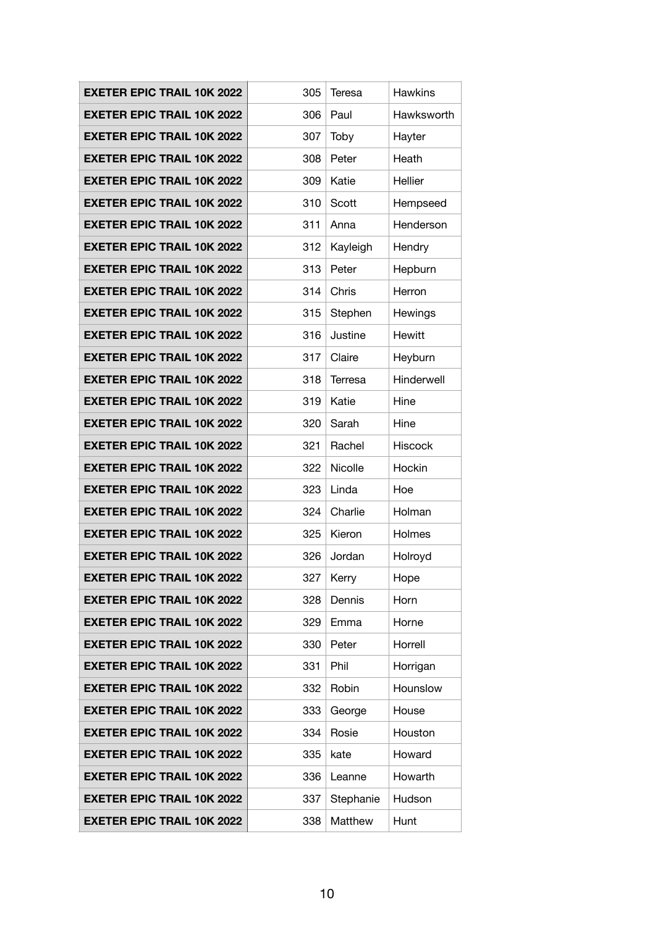| <b>EXETER EPIC TRAIL 10K 2022</b> | 305 | <b>Teresa</b> | <b>Hawkins</b> |
|-----------------------------------|-----|---------------|----------------|
| <b>EXETER EPIC TRAIL 10K 2022</b> | 306 | Paul          | Hawksworth     |
| <b>EXETER EPIC TRAIL 10K 2022</b> | 307 | Toby          | Hayter         |
| <b>EXETER EPIC TRAIL 10K 2022</b> | 308 | Peter         | Heath          |
| <b>EXETER EPIC TRAIL 10K 2022</b> | 309 | Katie         | Hellier        |
| <b>EXETER EPIC TRAIL 10K 2022</b> | 310 | Scott         | Hempseed       |
| <b>EXETER EPIC TRAIL 10K 2022</b> | 311 | Anna          | Henderson      |
| <b>EXETER EPIC TRAIL 10K 2022</b> | 312 | Kayleigh      | Hendry         |
| <b>EXETER EPIC TRAIL 10K 2022</b> | 313 | Peter         | Hepburn        |
| <b>EXETER EPIC TRAIL 10K 2022</b> | 314 | Chris         | Herron         |
| <b>EXETER EPIC TRAIL 10K 2022</b> | 315 | Stephen       | Hewings        |
| <b>EXETER EPIC TRAIL 10K 2022</b> | 316 | Justine       | Hewitt         |
| <b>EXETER EPIC TRAIL 10K 2022</b> | 317 | Claire        | Heyburn        |
| <b>EXETER EPIC TRAIL 10K 2022</b> | 318 | Terresa       | Hinderwell     |
| <b>EXETER EPIC TRAIL 10K 2022</b> | 319 | Katie         | Hine           |
| <b>EXETER EPIC TRAIL 10K 2022</b> | 320 | Sarah         | Hine           |
| <b>EXETER EPIC TRAIL 10K 2022</b> | 321 | Rachel        | <b>Hiscock</b> |
| <b>EXETER EPIC TRAIL 10K 2022</b> | 322 | Nicolle       | Hockin         |
| <b>EXETER EPIC TRAIL 10K 2022</b> | 323 | Linda         | Hoe            |
| <b>EXETER EPIC TRAIL 10K 2022</b> | 324 | Charlie       | Holman         |
| <b>EXETER EPIC TRAIL 10K 2022</b> | 325 | Kieron        | Holmes         |
| <b>EXETER EPIC TRAIL 10K 2022</b> | 326 | Jordan        | Holroyd        |
| <b>EXETER EPIC TRAIL 10K 2022</b> | 327 | Kerry         | Hope           |
| <b>EXETER EPIC TRAIL 10K 2022</b> | 328 | Dennis        | <b>Horn</b>    |
| <b>EXETER EPIC TRAIL 10K 2022</b> | 329 | Emma          | Horne          |
| <b>EXETER EPIC TRAIL 10K 2022</b> | 330 | Peter         | Horrell        |
| <b>EXETER EPIC TRAIL 10K 2022</b> | 331 | Phil          | Horrigan       |
| <b>EXETER EPIC TRAIL 10K 2022</b> | 332 | Robin         | Hounslow       |
| <b>EXETER EPIC TRAIL 10K 2022</b> | 333 | George        | House          |
| <b>EXETER EPIC TRAIL 10K 2022</b> | 334 | Rosie         | Houston        |
| <b>EXETER EPIC TRAIL 10K 2022</b> | 335 | kate          | Howard         |
| <b>EXETER EPIC TRAIL 10K 2022</b> | 336 | Leanne        | Howarth        |
| <b>EXETER EPIC TRAIL 10K 2022</b> | 337 | Stephanie     | Hudson         |
| <b>EXETER EPIC TRAIL 10K 2022</b> | 338 | Matthew       | Hunt           |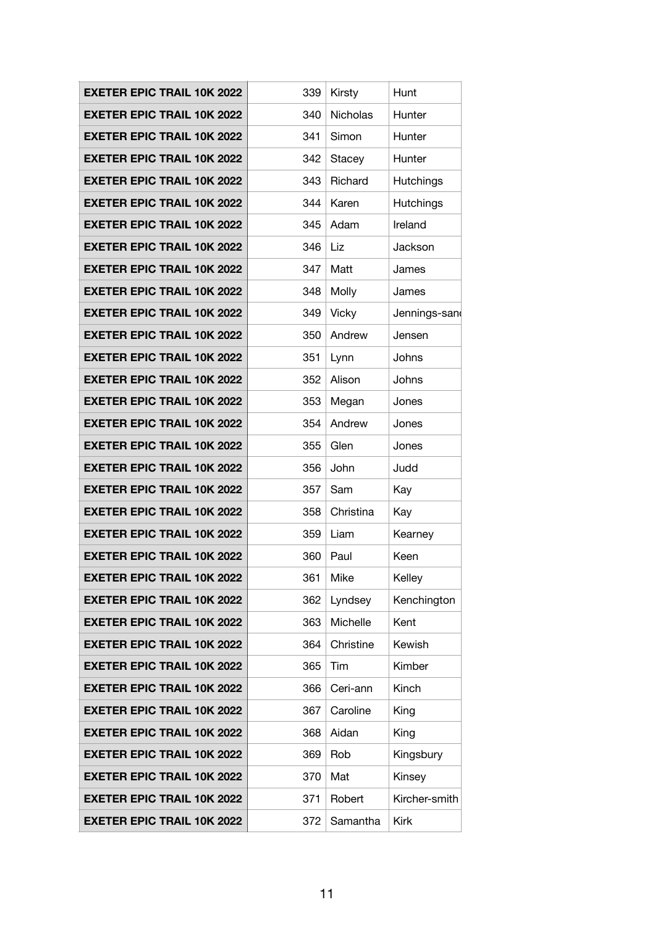| <b>EXETER EPIC TRAIL 10K 2022</b> | 339 | Kirsty          | Hunt             |
|-----------------------------------|-----|-----------------|------------------|
| <b>EXETER EPIC TRAIL 10K 2022</b> | 340 | <b>Nicholas</b> | Hunter           |
| <b>EXETER EPIC TRAIL 10K 2022</b> | 341 | Simon           | Hunter           |
| <b>EXETER EPIC TRAIL 10K 2022</b> | 342 | Stacey          | Hunter           |
| <b>EXETER EPIC TRAIL 10K 2022</b> | 343 | Richard         | <b>Hutchings</b> |
| <b>EXETER EPIC TRAIL 10K 2022</b> | 344 | Karen           | Hutchings        |
| <b>EXETER EPIC TRAIL 10K 2022</b> | 345 | Adam            | Ireland          |
| <b>EXETER EPIC TRAIL 10K 2022</b> | 346 | Liz             | Jackson          |
| <b>EXETER EPIC TRAIL 10K 2022</b> | 347 | Matt            | James            |
| <b>EXETER EPIC TRAIL 10K 2022</b> | 348 | Molly           | James            |
| <b>EXETER EPIC TRAIL 10K 2022</b> | 349 | <b>Vicky</b>    | Jennings-sand    |
| <b>EXETER EPIC TRAIL 10K 2022</b> | 350 | Andrew          | Jensen           |
| <b>EXETER EPIC TRAIL 10K 2022</b> | 351 | Lynn            | Johns            |
| <b>EXETER EPIC TRAIL 10K 2022</b> | 352 | Alison          | Johns            |
| <b>EXETER EPIC TRAIL 10K 2022</b> | 353 | Megan           | Jones            |
| <b>EXETER EPIC TRAIL 10K 2022</b> | 354 | Andrew          | Jones            |
| <b>EXETER EPIC TRAIL 10K 2022</b> | 355 | Glen            | Jones            |
| <b>EXETER EPIC TRAIL 10K 2022</b> | 356 | John            | Judd             |
| <b>EXETER EPIC TRAIL 10K 2022</b> | 357 | Sam             | Kay              |
| <b>EXETER EPIC TRAIL 10K 2022</b> | 358 | Christina       | Kay              |
| <b>EXETER EPIC TRAIL 10K 2022</b> | 359 | Liam            | Kearney          |
| <b>EXETER EPIC TRAIL 10K 2022</b> | 360 | Paul            | Keen             |
| <b>EXETER EPIC TRAIL 10K 2022</b> | 361 | Mike            | Kelley           |
| <b>EXETER EPIC TRAIL 10K 2022</b> | 362 | Lyndsey         | Kenchington      |
| <b>EXETER EPIC TRAIL 10K 2022</b> | 363 | Michelle        | Kent             |
| <b>EXETER EPIC TRAIL 10K 2022</b> | 364 | Christine       | Kewish           |
| <b>EXETER EPIC TRAIL 10K 2022</b> | 365 | Tim             | Kimber           |
| <b>EXETER EPIC TRAIL 10K 2022</b> | 366 | Ceri-ann        | <b>Kinch</b>     |
| <b>EXETER EPIC TRAIL 10K 2022</b> | 367 | Caroline        | King             |
| <b>EXETER EPIC TRAIL 10K 2022</b> | 368 | Aidan           | King             |
| <b>EXETER EPIC TRAIL 10K 2022</b> | 369 | Rob             | Kingsbury        |
| <b>EXETER EPIC TRAIL 10K 2022</b> | 370 | Mat             | Kinsey           |
| <b>EXETER EPIC TRAIL 10K 2022</b> | 371 | Robert          | Kircher-smith    |
| <b>EXETER EPIC TRAIL 10K 2022</b> | 372 | Samantha        | <b>Kirk</b>      |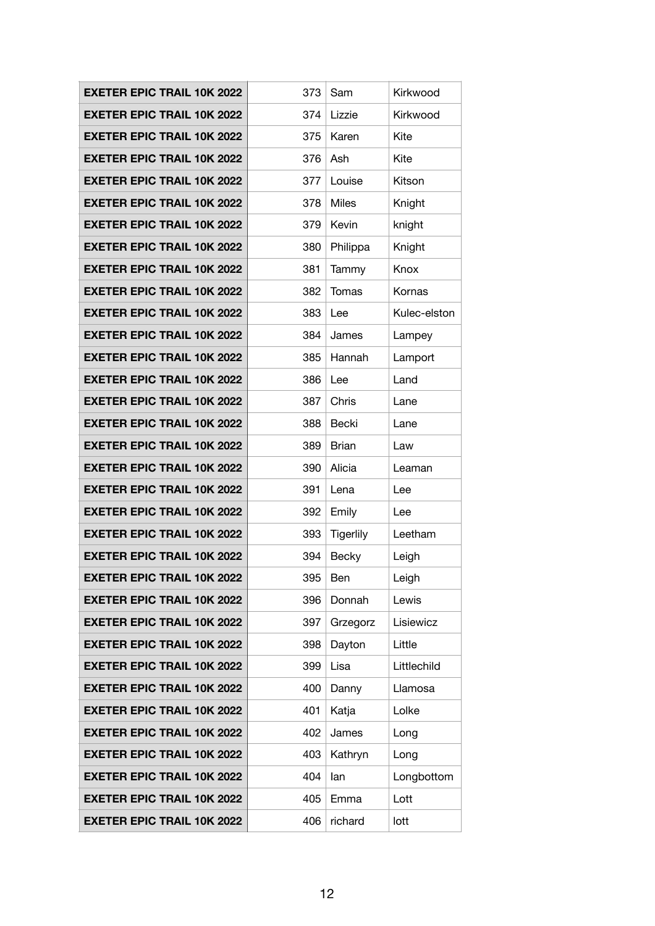| <b>EXETER EPIC TRAIL 10K 2022</b> | 373 | Sam              | Kirkwood     |
|-----------------------------------|-----|------------------|--------------|
| <b>EXETER EPIC TRAIL 10K 2022</b> | 374 | Lizzie           | Kirkwood     |
| <b>EXETER EPIC TRAIL 10K 2022</b> | 375 | Karen            | Kite         |
| <b>EXETER EPIC TRAIL 10K 2022</b> | 376 | Ash              | Kite         |
| <b>EXETER EPIC TRAIL 10K 2022</b> | 377 | Louise           | Kitson       |
| <b>EXETER EPIC TRAIL 10K 2022</b> | 378 | <b>Miles</b>     | Knight       |
| <b>EXETER EPIC TRAIL 10K 2022</b> | 379 | Kevin            | knight       |
| <b>EXETER EPIC TRAIL 10K 2022</b> | 380 | Philippa         | Knight       |
| <b>EXETER EPIC TRAIL 10K 2022</b> | 381 | Tammy            | Knox         |
| <b>EXETER EPIC TRAIL 10K 2022</b> | 382 | Tomas            | Kornas       |
| <b>EXETER EPIC TRAIL 10K 2022</b> | 383 | Lee              | Kulec-elston |
| <b>EXETER EPIC TRAIL 10K 2022</b> | 384 | James            | Lampey       |
| <b>EXETER EPIC TRAIL 10K 2022</b> | 385 | Hannah           | Lamport      |
| <b>EXETER EPIC TRAIL 10K 2022</b> | 386 | Lee              | Land         |
| <b>EXETER EPIC TRAIL 10K 2022</b> | 387 | Chris            | Lane         |
| <b>EXETER EPIC TRAIL 10K 2022</b> | 388 | Becki            | Lane         |
| <b>EXETER EPIC TRAIL 10K 2022</b> | 389 | <b>Brian</b>     | Law          |
| <b>EXETER EPIC TRAIL 10K 2022</b> | 390 | Alicia           | Leaman       |
| <b>EXETER EPIC TRAIL 10K 2022</b> | 391 | Lena             | Lee          |
| <b>EXETER EPIC TRAIL 10K 2022</b> | 392 | Emily            | Lee          |
| <b>EXETER EPIC TRAIL 10K 2022</b> | 393 | <b>Tigerlily</b> | Leetham      |
| <b>EXETER EPIC TRAIL 10K 2022</b> | 394 | Becky            | Leigh        |
| <b>EXETER EPIC TRAIL 10K 2022</b> | 395 | Ben              | Leigh        |
| <b>EXETER EPIC TRAIL 10K 2022</b> | 396 | Donnah           | Lewis        |
| <b>EXETER EPIC TRAIL 10K 2022</b> | 397 | Grzegorz         | Lisiewicz    |
| <b>EXETER EPIC TRAIL 10K 2022</b> | 398 | Dayton           | Little       |
| <b>EXETER EPIC TRAIL 10K 2022</b> | 399 | Lisa             | Littlechild  |
| <b>EXETER EPIC TRAIL 10K 2022</b> | 400 | Danny            | Llamosa      |
| <b>EXETER EPIC TRAIL 10K 2022</b> | 401 | Katja            | Lolke        |
| <b>EXETER EPIC TRAIL 10K 2022</b> | 402 | James            | Long         |
| <b>EXETER EPIC TRAIL 10K 2022</b> | 403 | Kathryn          | Long         |
| <b>EXETER EPIC TRAIL 10K 2022</b> | 404 | lan              | Longbottom   |
| <b>EXETER EPIC TRAIL 10K 2022</b> | 405 | Emma             | Lott         |
| <b>EXETER EPIC TRAIL 10K 2022</b> | 406 | richard          | lott         |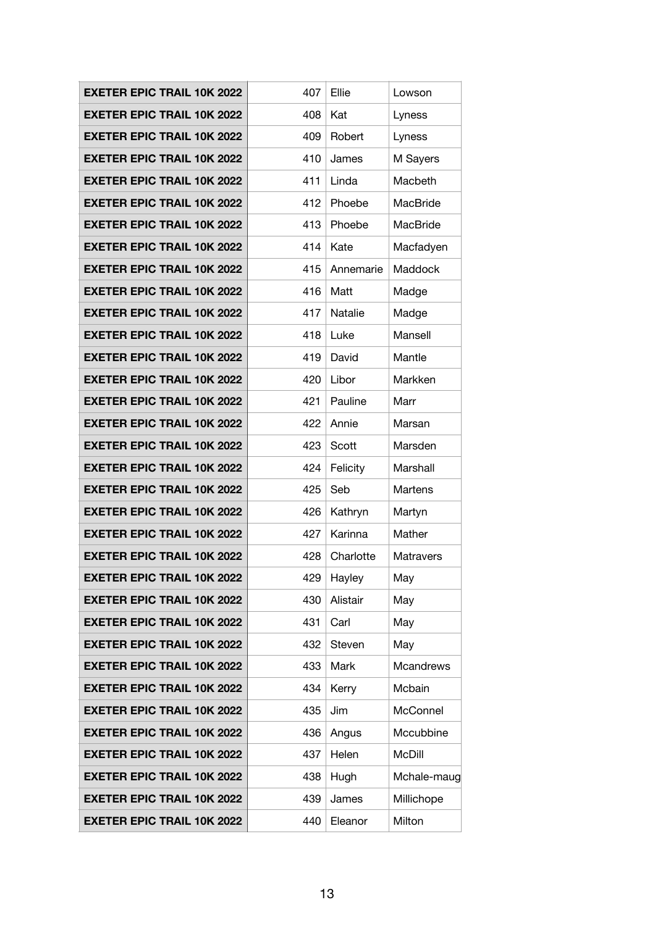| <b>EXETER EPIC TRAIL 10K 2022</b> | 407 | Ellie       | Lowson           |
|-----------------------------------|-----|-------------|------------------|
| <b>EXETER EPIC TRAIL 10K 2022</b> | 408 | Kat         | Lyness           |
| <b>EXETER EPIC TRAIL 10K 2022</b> | 409 | Robert      | Lyness           |
| <b>EXETER EPIC TRAIL 10K 2022</b> | 410 | James       | M Sayers         |
| <b>EXETER EPIC TRAIL 10K 2022</b> | 411 | Linda       | Macbeth          |
| <b>EXETER EPIC TRAIL 10K 2022</b> | 412 | Phoebe      | <b>MacBride</b>  |
| <b>EXETER EPIC TRAIL 10K 2022</b> | 413 | Phoebe      | <b>MacBride</b>  |
| <b>EXETER EPIC TRAIL 10K 2022</b> | 414 | Kate        | Macfadyen        |
| <b>EXETER EPIC TRAIL 10K 2022</b> | 415 | Annemarie   | Maddock          |
| <b>EXETER EPIC TRAIL 10K 2022</b> | 416 | Matt        | Madge            |
| <b>EXETER EPIC TRAIL 10K 2022</b> | 417 | Natalie     | Madge            |
| <b>EXETER EPIC TRAIL 10K 2022</b> | 418 | Luke        | Mansell          |
| <b>EXETER EPIC TRAIL 10K 2022</b> | 419 | David       | Mantle           |
| <b>EXETER EPIC TRAIL 10K 2022</b> | 420 | Libor       | Markken          |
| <b>EXETER EPIC TRAIL 10K 2022</b> | 421 | Pauline     | Marr             |
| <b>EXETER EPIC TRAIL 10K 2022</b> | 422 | Annie       | Marsan           |
| <b>EXETER EPIC TRAIL 10K 2022</b> | 423 | Scott       | Marsden          |
| <b>EXETER EPIC TRAIL 10K 2022</b> | 424 | Felicity    | Marshall         |
| <b>EXETER EPIC TRAIL 10K 2022</b> | 425 | Seb         | Martens          |
| <b>EXETER EPIC TRAIL 10K 2022</b> | 426 | Kathryn     | Martyn           |
| <b>EXETER EPIC TRAIL 10K 2022</b> | 427 | Karinna     | Mather           |
| <b>EXETER EPIC TRAIL 10K 2022</b> | 428 | Charlotte   | Matravers        |
| <b>EXETER EPIC TRAIL 10K 2022</b> | 429 | Hayley      | May              |
| <b>EXETER EPIC TRAIL 10K 2022</b> | 430 | Alistair    | May              |
| <b>EXETER EPIC TRAIL 10K 2022</b> | 431 | Carl        | May              |
| <b>EXETER EPIC TRAIL 10K 2022</b> | 432 | Steven      | May              |
| <b>EXETER EPIC TRAIL 10K 2022</b> | 433 | <b>Mark</b> | <b>Mcandrews</b> |
| <b>EXETER EPIC TRAIL 10K 2022</b> | 434 | Kerry       | Mcbain           |
| <b>EXETER EPIC TRAIL 10K 2022</b> | 435 | Jim         | McConnel         |
| <b>EXETER EPIC TRAIL 10K 2022</b> | 436 | Angus       | Mccubbine        |
| <b>EXETER EPIC TRAIL 10K 2022</b> | 437 | Helen       | <b>McDill</b>    |
| <b>EXETER EPIC TRAIL 10K 2022</b> | 438 | Hugh        | Mchale-maug      |
| <b>EXETER EPIC TRAIL 10K 2022</b> | 439 | James       | Millichope       |
| <b>EXETER EPIC TRAIL 10K 2022</b> | 440 | Eleanor     | Milton           |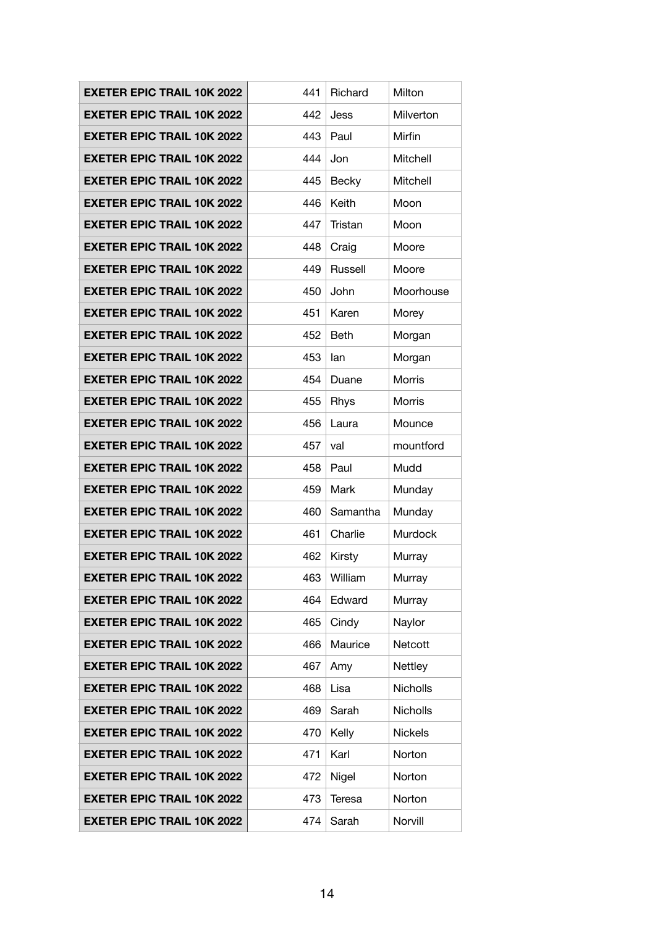| <b>EXETER EPIC TRAIL 10K 2022</b> | 441 | Richard       | Milton          |
|-----------------------------------|-----|---------------|-----------------|
| <b>EXETER EPIC TRAIL 10K 2022</b> | 442 | Jess          | Milverton       |
| <b>EXETER EPIC TRAIL 10K 2022</b> | 443 | Paul          | Mirfin          |
| <b>EXETER EPIC TRAIL 10K 2022</b> | 444 | Jon           | Mitchell        |
| <b>EXETER EPIC TRAIL 10K 2022</b> | 445 | <b>Becky</b>  | Mitchell        |
| <b>EXETER EPIC TRAIL 10K 2022</b> | 446 | Keith         | Moon            |
| <b>EXETER EPIC TRAIL 10K 2022</b> | 447 | Tristan       | Moon            |
| <b>EXETER EPIC TRAIL 10K 2022</b> | 448 | Craig         | Moore           |
| <b>EXETER EPIC TRAIL 10K 2022</b> | 449 | Russell       | Moore           |
| <b>EXETER EPIC TRAIL 10K 2022</b> | 450 | John          | Moorhouse       |
| <b>EXETER EPIC TRAIL 10K 2022</b> | 451 | Karen         | Morey           |
| <b>EXETER EPIC TRAIL 10K 2022</b> | 452 | <b>Beth</b>   | Morgan          |
| <b>EXETER EPIC TRAIL 10K 2022</b> | 453 | lan           | Morgan          |
| <b>EXETER EPIC TRAIL 10K 2022</b> | 454 | Duane         | <b>Morris</b>   |
| <b>EXETER EPIC TRAIL 10K 2022</b> | 455 | <b>Rhys</b>   | <b>Morris</b>   |
| <b>EXETER EPIC TRAIL 10K 2022</b> | 456 | Laura         | Mounce          |
| <b>EXETER EPIC TRAIL 10K 2022</b> | 457 | val           | mountford       |
|                                   |     |               |                 |
| <b>EXETER EPIC TRAIL 10K 2022</b> | 458 | Paul          | Mudd            |
| <b>EXETER EPIC TRAIL 10K 2022</b> | 459 | Mark          | Munday          |
| <b>EXETER EPIC TRAIL 10K 2022</b> | 460 | Samantha      | Munday          |
| <b>EXETER EPIC TRAIL 10K 2022</b> | 461 | Charlie       | <b>Murdock</b>  |
| <b>EXETER EPIC TRAIL 10K 2022</b> | 462 | Kirsty        | Murray          |
| <b>EXETER EPIC TRAIL 10K 2022</b> | 463 | William       | Murray          |
| <b>EXETER EPIC TRAIL 10K 2022</b> | 464 | Edward        | Murray          |
| <b>EXETER EPIC TRAIL 10K 2022</b> | 465 | Cindy         | Naylor          |
| <b>EXETER EPIC TRAIL 10K 2022</b> | 466 | Maurice       | Netcott         |
| <b>EXETER EPIC TRAIL 10K 2022</b> | 467 | Amy           | Nettley         |
| <b>EXETER EPIC TRAIL 10K 2022</b> | 468 | Lisa          | <b>Nicholls</b> |
| <b>EXETER EPIC TRAIL 10K 2022</b> | 469 | Sarah         | <b>Nicholls</b> |
| <b>EXETER EPIC TRAIL 10K 2022</b> | 470 | Kelly         | <b>Nickels</b>  |
| <b>EXETER EPIC TRAIL 10K 2022</b> | 471 | Karl          | Norton          |
| <b>EXETER EPIC TRAIL 10K 2022</b> | 472 | Nigel         | Norton          |
| <b>EXETER EPIC TRAIL 10K 2022</b> | 473 | <b>Teresa</b> | Norton          |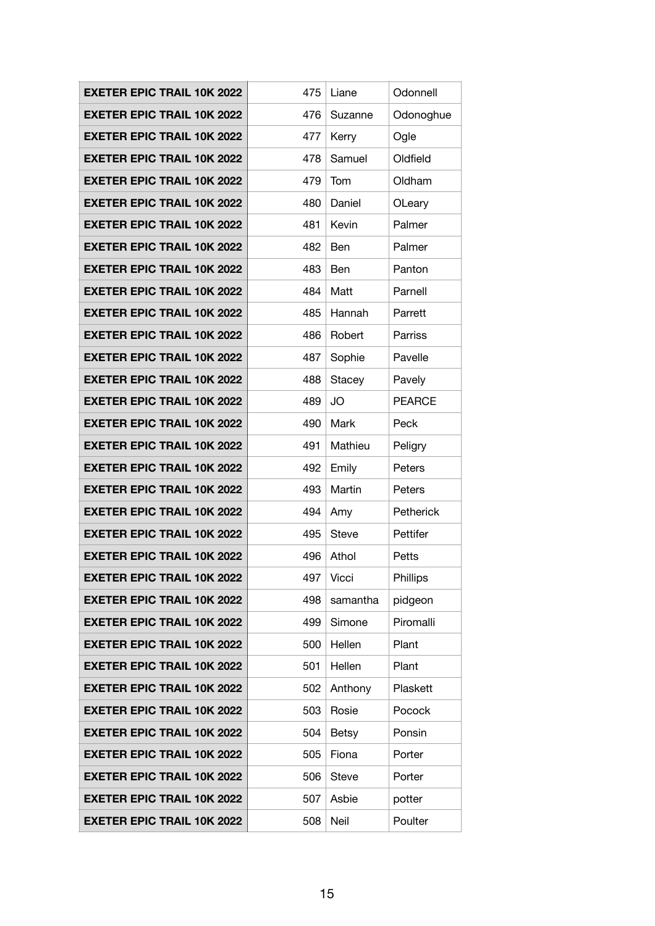| <b>EXETER EPIC TRAIL 10K 2022</b> | 475 | Liane        | Odonnell      |
|-----------------------------------|-----|--------------|---------------|
| <b>EXETER EPIC TRAIL 10K 2022</b> | 476 | Suzanne      | Odonoghue     |
| <b>EXETER EPIC TRAIL 10K 2022</b> | 477 | Kerry        | Ogle          |
| <b>EXETER EPIC TRAIL 10K 2022</b> | 478 | Samuel       | Oldfield      |
| <b>EXETER EPIC TRAIL 10K 2022</b> | 479 | Tom          | Oldham        |
| <b>EXETER EPIC TRAIL 10K 2022</b> | 480 | Daniel       | OLeary        |
| <b>EXETER EPIC TRAIL 10K 2022</b> | 481 | Kevin        | Palmer        |
| <b>EXETER EPIC TRAIL 10K 2022</b> | 482 | <b>Ben</b>   | Palmer        |
| <b>EXETER EPIC TRAIL 10K 2022</b> | 483 | Ben          | Panton        |
| <b>EXETER EPIC TRAIL 10K 2022</b> | 484 | Matt         | Parnell       |
| <b>EXETER EPIC TRAIL 10K 2022</b> | 485 | Hannah       | Parrett       |
| <b>EXETER EPIC TRAIL 10K 2022</b> | 486 | Robert       | Parriss       |
| <b>EXETER EPIC TRAIL 10K 2022</b> | 487 | Sophie       | Pavelle       |
| <b>EXETER EPIC TRAIL 10K 2022</b> | 488 | Stacey       | Pavely        |
| <b>EXETER EPIC TRAIL 10K 2022</b> | 489 | <b>JO</b>    | <b>PEARCE</b> |
| <b>EXETER EPIC TRAIL 10K 2022</b> | 490 | Mark         | Peck          |
| <b>EXETER EPIC TRAIL 10K 2022</b> | 491 | Mathieu      | Peligry       |
| <b>EXETER EPIC TRAIL 10K 2022</b> | 492 | Emily        | Peters        |
| <b>EXETER EPIC TRAIL 10K 2022</b> | 493 | Martin       | Peters        |
| <b>EXETER EPIC TRAIL 10K 2022</b> | 494 | Amy          | Petherick     |
| <b>EXETER EPIC TRAIL 10K 2022</b> | 495 | <b>Steve</b> | Pettifer      |
| <b>EXETER EPIC TRAIL 10K 2022</b> | 496 | Athol        | Petts         |
| <b>EXETER EPIC TRAIL 10K 2022</b> | 497 | Vicci        | Phillips      |
| <b>EXETER EPIC TRAIL 10K 2022</b> | 498 | samantha     | pidgeon       |
| <b>EXETER EPIC TRAIL 10K 2022</b> | 499 | Simone       | Piromalli     |
| <b>EXETER EPIC TRAIL 10K 2022</b> | 500 | Hellen       | Plant         |
| <b>EXETER EPIC TRAIL 10K 2022</b> | 501 | Hellen       | Plant         |
| <b>EXETER EPIC TRAIL 10K 2022</b> | 502 | Anthony      | Plaskett      |
| <b>EXETER EPIC TRAIL 10K 2022</b> | 503 | Rosie        | Pocock        |
| <b>EXETER EPIC TRAIL 10K 2022</b> | 504 | <b>Betsy</b> | Ponsin        |
| <b>EXETER EPIC TRAIL 10K 2022</b> | 505 | Fiona        | Porter        |
| <b>EXETER EPIC TRAIL 10K 2022</b> | 506 | <b>Steve</b> | Porter        |
| <b>EXETER EPIC TRAIL 10K 2022</b> | 507 | Asbie        | potter        |
| <b>EXETER EPIC TRAIL 10K 2022</b> | 508 | Neil         | Poulter       |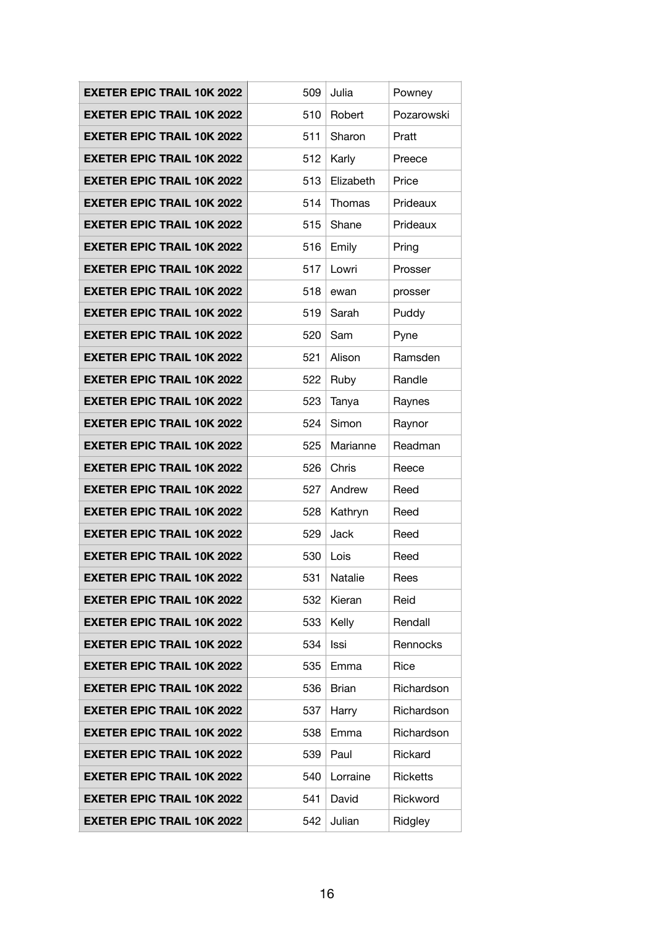| <b>EXETER EPIC TRAIL 10K 2022</b> | 509 | Julia        | Powney          |
|-----------------------------------|-----|--------------|-----------------|
| <b>EXETER EPIC TRAIL 10K 2022</b> | 510 | Robert       | Pozarowski      |
| <b>EXETER EPIC TRAIL 10K 2022</b> | 511 | Sharon       | Pratt           |
| <b>EXETER EPIC TRAIL 10K 2022</b> | 512 | Karly        | Preece          |
| <b>EXETER EPIC TRAIL 10K 2022</b> | 513 | Elizabeth    | Price           |
| <b>EXETER EPIC TRAIL 10K 2022</b> | 514 | Thomas       | Prideaux        |
| <b>EXETER EPIC TRAIL 10K 2022</b> | 515 | Shane        | Prideaux        |
| <b>EXETER EPIC TRAIL 10K 2022</b> | 516 | Emily        | Pring           |
| <b>EXETER EPIC TRAIL 10K 2022</b> | 517 | Lowri        | Prosser         |
| <b>EXETER EPIC TRAIL 10K 2022</b> | 518 | ewan         | prosser         |
| <b>EXETER EPIC TRAIL 10K 2022</b> | 519 | Sarah        | Puddy           |
| <b>EXETER EPIC TRAIL 10K 2022</b> | 520 | Sam          | Pyne            |
| <b>EXETER EPIC TRAIL 10K 2022</b> | 521 | Alison       | Ramsden         |
| <b>EXETER EPIC TRAIL 10K 2022</b> | 522 | Ruby         | Randle          |
| <b>EXETER EPIC TRAIL 10K 2022</b> | 523 | Tanya        | Raynes          |
| <b>EXETER EPIC TRAIL 10K 2022</b> | 524 | Simon        | Raynor          |
| <b>EXETER EPIC TRAIL 10K 2022</b> | 525 | Marianne     | Readman         |
| <b>EXETER EPIC TRAIL 10K 2022</b> | 526 | Chris        | Reece           |
| <b>EXETER EPIC TRAIL 10K 2022</b> | 527 | Andrew       | Reed            |
| <b>EXETER EPIC TRAIL 10K 2022</b> | 528 | Kathryn      | Reed            |
| <b>EXETER EPIC TRAIL 10K 2022</b> | 529 | Jack         | Reed            |
| <b>EXETER EPIC TRAIL 10K 2022</b> | 530 | Lois         | Reed            |
| <b>EXETER EPIC TRAIL 10K 2022</b> | 531 | Natalie      | Rees            |
| <b>EXETER EPIC TRAIL 10K 2022</b> | 532 | Kieran       | Reid            |
| <b>EXETER EPIC TRAIL 10K 2022</b> | 533 | Kelly        | Rendall         |
| <b>EXETER EPIC TRAIL 10K 2022</b> | 534 | Issi         | Rennocks        |
| <b>EXETER EPIC TRAIL 10K 2022</b> | 535 | Emma         | Rice            |
| <b>EXETER EPIC TRAIL 10K 2022</b> | 536 | <b>Brian</b> | Richardson      |
| <b>EXETER EPIC TRAIL 10K 2022</b> | 537 | Harry        | Richardson      |
| <b>EXETER EPIC TRAIL 10K 2022</b> | 538 | Emma         | Richardson      |
| <b>EXETER EPIC TRAIL 10K 2022</b> | 539 | Paul         | Rickard         |
| <b>EXETER EPIC TRAIL 10K 2022</b> | 540 | Lorraine     | <b>Ricketts</b> |
| <b>EXETER EPIC TRAIL 10K 2022</b> | 541 | David        | Rickword        |
| <b>EXETER EPIC TRAIL 10K 2022</b> | 542 | Julian       | Ridgley         |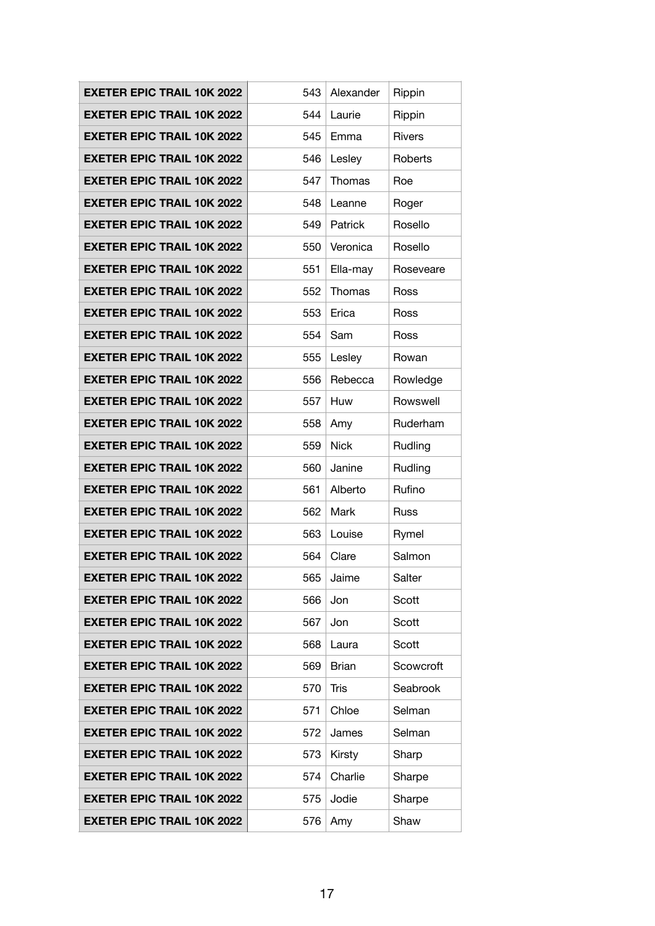| <b>EXETER EPIC TRAIL 10K 2022</b> | 543 | Alexander    | Rippin        |
|-----------------------------------|-----|--------------|---------------|
| <b>EXETER EPIC TRAIL 10K 2022</b> | 544 | Laurie       | Rippin        |
| <b>EXETER EPIC TRAIL 10K 2022</b> | 545 | Emma         | <b>Rivers</b> |
| <b>EXETER EPIC TRAIL 10K 2022</b> | 546 | Lesley       | Roberts       |
| <b>EXETER EPIC TRAIL 10K 2022</b> | 547 | Thomas       | Roe           |
| <b>EXETER EPIC TRAIL 10K 2022</b> | 548 | Leanne       | Roger         |
| <b>EXETER EPIC TRAIL 10K 2022</b> | 549 | Patrick      | Rosello       |
| <b>EXETER EPIC TRAIL 10K 2022</b> | 550 | Veronica     | Rosello       |
| <b>EXETER EPIC TRAIL 10K 2022</b> | 551 | Ella-may     | Roseveare     |
| <b>EXETER EPIC TRAIL 10K 2022</b> | 552 | Thomas       | Ross          |
| <b>EXETER EPIC TRAIL 10K 2022</b> | 553 | Erica        | Ross          |
| <b>EXETER EPIC TRAIL 10K 2022</b> | 554 | Sam          | Ross          |
| <b>EXETER EPIC TRAIL 10K 2022</b> | 555 | Lesley       | Rowan         |
| <b>EXETER EPIC TRAIL 10K 2022</b> | 556 | Rebecca      | Rowledge      |
| <b>EXETER EPIC TRAIL 10K 2022</b> | 557 | Huw          | Rowswell      |
| <b>EXETER EPIC TRAIL 10K 2022</b> | 558 | Amy          | Ruderham      |
| <b>EXETER EPIC TRAIL 10K 2022</b> | 559 | <b>Nick</b>  | Rudling       |
| <b>EXETER EPIC TRAIL 10K 2022</b> | 560 | Janine       | Rudling       |
| <b>EXETER EPIC TRAIL 10K 2022</b> | 561 | Alberto      | Rufino        |
| <b>EXETER EPIC TRAIL 10K 2022</b> | 562 | Mark         | Russ          |
| <b>EXETER EPIC TRAIL 10K 2022</b> | 563 | Louise       | Rymel         |
| <b>EXETER EPIC TRAIL 10K 2022</b> | 564 | Clare        | Salmon        |
| <b>EXETER EPIC TRAIL 10K 2022</b> | 565 | Jaime        | Salter        |
| <b>EXETER EPIC TRAIL 10K 2022</b> | 566 | Jon          | Scott         |
| <b>EXETER EPIC TRAIL 10K 2022</b> | 567 | Jon          | Scott         |
| <b>EXETER EPIC TRAIL 10K 2022</b> | 568 | Laura        | Scott         |
| <b>EXETER EPIC TRAIL 10K 2022</b> | 569 | <b>Brian</b> | Scowcroft     |
| <b>EXETER EPIC TRAIL 10K 2022</b> | 570 | Tris         | Seabrook      |
| <b>EXETER EPIC TRAIL 10K 2022</b> | 571 | Chloe        | Selman        |
| <b>EXETER EPIC TRAIL 10K 2022</b> | 572 | James        | Selman        |
| <b>EXETER EPIC TRAIL 10K 2022</b> | 573 | Kirsty       | Sharp         |
| <b>EXETER EPIC TRAIL 10K 2022</b> | 574 | Charlie      | Sharpe        |
| <b>EXETER EPIC TRAIL 10K 2022</b> | 575 | Jodie        | Sharpe        |
| <b>EXETER EPIC TRAIL 10K 2022</b> | 576 | Amy          | Shaw          |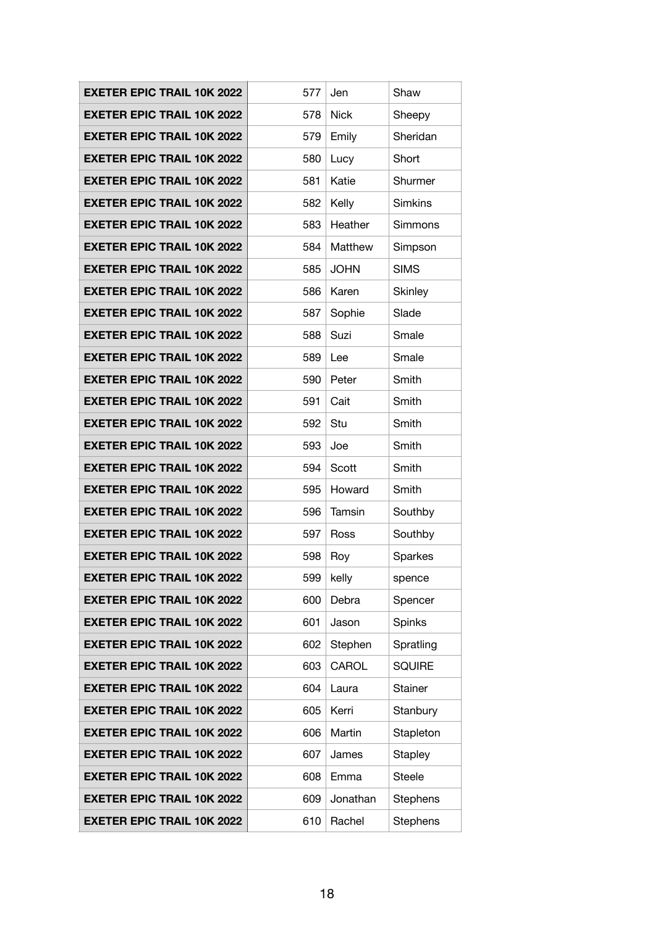| <b>EXETER EPIC TRAIL 10K 2022</b> | 577 | Jen         | Shaw            |
|-----------------------------------|-----|-------------|-----------------|
| <b>EXETER EPIC TRAIL 10K 2022</b> | 578 | <b>Nick</b> | Sheepy          |
| <b>EXETER EPIC TRAIL 10K 2022</b> | 579 | Emily       | Sheridan        |
| <b>EXETER EPIC TRAIL 10K 2022</b> | 580 | Lucy        | Short           |
| <b>EXETER EPIC TRAIL 10K 2022</b> | 581 | Katie       | Shurmer         |
| <b>EXETER EPIC TRAIL 10K 2022</b> | 582 | Kelly       | <b>Simkins</b>  |
| <b>EXETER EPIC TRAIL 10K 2022</b> | 583 | Heather     | <b>Simmons</b>  |
| <b>EXETER EPIC TRAIL 10K 2022</b> | 584 | Matthew     | Simpson         |
| <b>EXETER EPIC TRAIL 10K 2022</b> | 585 | <b>JOHN</b> | <b>SIMS</b>     |
| <b>EXETER EPIC TRAIL 10K 2022</b> | 586 | Karen       | <b>Skinley</b>  |
| <b>EXETER EPIC TRAIL 10K 2022</b> | 587 | Sophie      | Slade           |
| <b>EXETER EPIC TRAIL 10K 2022</b> | 588 | Suzi        | Smale           |
| <b>EXETER EPIC TRAIL 10K 2022</b> | 589 | Lee         | Smale           |
| <b>EXETER EPIC TRAIL 10K 2022</b> | 590 | Peter       | Smith           |
| <b>EXETER EPIC TRAIL 10K 2022</b> | 591 | Cait        | Smith           |
| <b>EXETER EPIC TRAIL 10K 2022</b> | 592 | Stu         | Smith           |
| <b>EXETER EPIC TRAIL 10K 2022</b> | 593 | Joe         | Smith           |
| <b>EXETER EPIC TRAIL 10K 2022</b> | 594 | Scott       | Smith           |
| <b>EXETER EPIC TRAIL 10K 2022</b> | 595 | Howard      | Smith           |
| <b>EXETER EPIC TRAIL 10K 2022</b> | 596 | Tamsin      | Southby         |
| <b>EXETER EPIC TRAIL 10K 2022</b> | 597 | Ross        | Southby         |
| <b>EXETER EPIC TRAIL 10K 2022</b> | 598 | Roy         | Sparkes         |
| <b>EXETER EPIC TRAIL 10K 2022</b> | 599 | kelly       | spence          |
| <b>EXETER EPIC TRAIL 10K 2022</b> | 600 | Debra       | Spencer         |
| <b>EXETER EPIC TRAIL 10K 2022</b> | 601 | Jason       | Spinks          |
| <b>EXETER EPIC TRAIL 10K 2022</b> | 602 | Stephen     | Spratling       |
| <b>EXETER EPIC TRAIL 10K 2022</b> | 603 | CAROL       | <b>SQUIRE</b>   |
| <b>EXETER EPIC TRAIL 10K 2022</b> | 604 | Laura       | Stainer         |
| <b>EXETER EPIC TRAIL 10K 2022</b> | 605 | Kerri       | Stanbury        |
| <b>EXETER EPIC TRAIL 10K 2022</b> | 606 | Martin      | Stapleton       |
| <b>EXETER EPIC TRAIL 10K 2022</b> | 607 | James       | <b>Stapley</b>  |
| <b>EXETER EPIC TRAIL 10K 2022</b> | 608 | Emma        | <b>Steele</b>   |
| <b>EXETER EPIC TRAIL 10K 2022</b> | 609 | Jonathan    | <b>Stephens</b> |
| <b>EXETER EPIC TRAIL 10K 2022</b> | 610 | Rachel      | <b>Stephens</b> |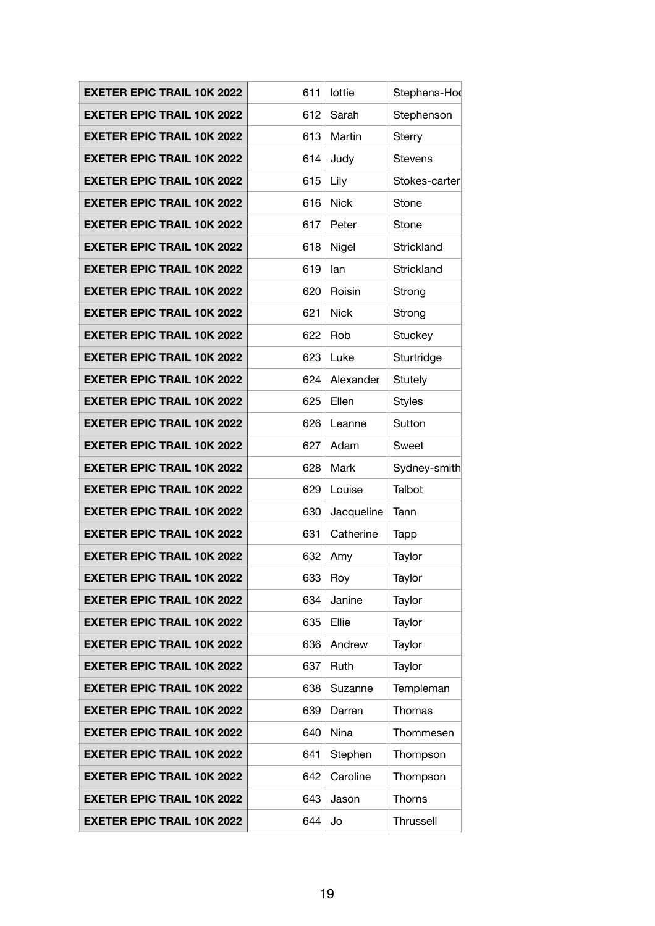| <b>EXETER EPIC TRAIL 10K 2022</b> | 611 | lottie      | Stephens-Hod   |
|-----------------------------------|-----|-------------|----------------|
| <b>EXETER EPIC TRAIL 10K 2022</b> | 612 | Sarah       | Stephenson     |
| <b>EXETER EPIC TRAIL 10K 2022</b> | 613 | Martin      | <b>Sterry</b>  |
| <b>EXETER EPIC TRAIL 10K 2022</b> | 614 | Judy        | <b>Stevens</b> |
| <b>EXETER EPIC TRAIL 10K 2022</b> | 615 | Lily        | Stokes-carter  |
| <b>EXETER EPIC TRAIL 10K 2022</b> | 616 | <b>Nick</b> | Stone          |
| <b>EXETER EPIC TRAIL 10K 2022</b> | 617 | Peter       | <b>Stone</b>   |
| <b>EXETER EPIC TRAIL 10K 2022</b> | 618 | Nigel       | Strickland     |
| <b>EXETER EPIC TRAIL 10K 2022</b> | 619 | lan         | Strickland     |
| <b>EXETER EPIC TRAIL 10K 2022</b> | 620 | Roisin      | Strong         |
| <b>EXETER EPIC TRAIL 10K 2022</b> | 621 | <b>Nick</b> | Strong         |
| <b>EXETER EPIC TRAIL 10K 2022</b> | 622 | Rob         | Stuckey        |
| <b>EXETER EPIC TRAIL 10K 2022</b> | 623 | Luke        | Sturtridge     |
| <b>EXETER EPIC TRAIL 10K 2022</b> | 624 | Alexander   | Stutely        |
| <b>EXETER EPIC TRAIL 10K 2022</b> | 625 | Ellen       | <b>Styles</b>  |
| <b>EXETER EPIC TRAIL 10K 2022</b> | 626 | Leanne      | Sutton         |
| <b>EXETER EPIC TRAIL 10K 2022</b> | 627 | Adam        | Sweet          |
| <b>EXETER EPIC TRAIL 10K 2022</b> | 628 | Mark        | Sydney-smith   |
| <b>EXETER EPIC TRAIL 10K 2022</b> | 629 | Louise      | Talbot         |
| <b>EXETER EPIC TRAIL 10K 2022</b> | 630 | Jacqueline  | Tann           |
| <b>EXETER EPIC TRAIL 10K 2022</b> | 631 | Catherine   | Tapp           |
| <b>EXETER EPIC TRAIL 10K 2022</b> | 632 | Amy         | Taylor         |
| <b>EXETER EPIC TRAIL 10K 2022</b> | 633 | Roy         | Taylor         |
| <b>EXETER EPIC TRAIL 10K 2022</b> | 634 | Janine      | Taylor         |
| <b>EXETER EPIC TRAIL 10K 2022</b> | 635 | Ellie       | Taylor         |
| <b>EXETER EPIC TRAIL 10K 2022</b> | 636 | Andrew      | Taylor         |
| <b>EXETER EPIC TRAIL 10K 2022</b> | 637 | Ruth        | Taylor         |
| <b>EXETER EPIC TRAIL 10K 2022</b> | 638 | Suzanne     | Templeman      |
| <b>EXETER EPIC TRAIL 10K 2022</b> | 639 | Darren      | Thomas         |
| <b>EXETER EPIC TRAIL 10K 2022</b> | 640 | Nina        | Thommesen      |
| <b>EXETER EPIC TRAIL 10K 2022</b> | 641 | Stephen     | Thompson       |
| <b>EXETER EPIC TRAIL 10K 2022</b> | 642 | Caroline    | Thompson       |
| <b>EXETER EPIC TRAIL 10K 2022</b> | 643 | Jason       | Thorns         |
| <b>EXETER EPIC TRAIL 10K 2022</b> | 644 | Jo          | Thrussell      |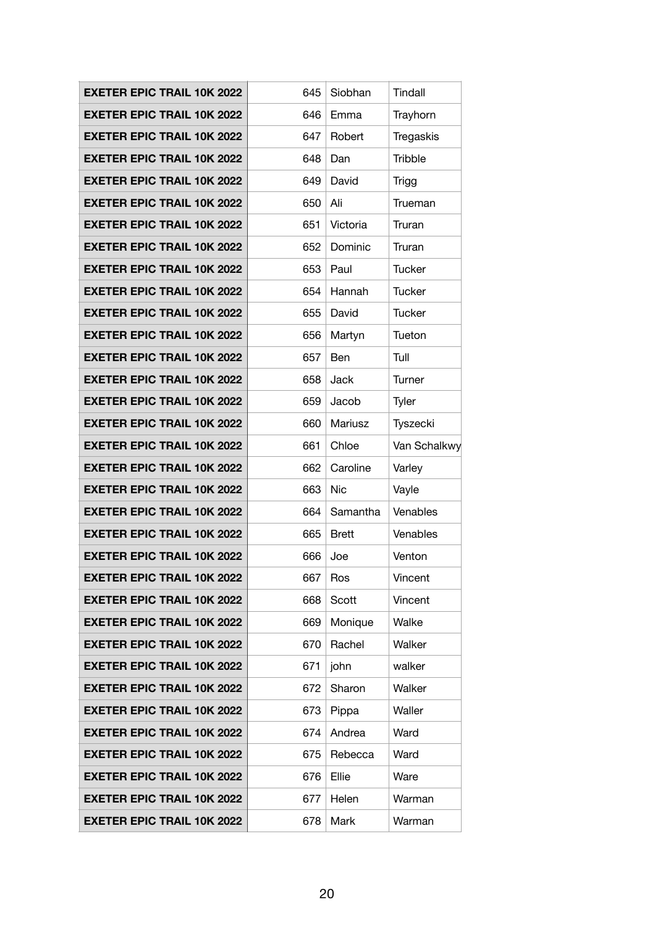| <b>EXETER EPIC TRAIL 10K 2022</b> | 645 | Siobhan      | Tindall       |
|-----------------------------------|-----|--------------|---------------|
| <b>EXETER EPIC TRAIL 10K 2022</b> | 646 | Emma         | Trayhorn      |
| <b>EXETER EPIC TRAIL 10K 2022</b> | 647 | Robert       | Tregaskis     |
| <b>EXETER EPIC TRAIL 10K 2022</b> | 648 | Dan          | Tribble       |
| <b>EXETER EPIC TRAIL 10K 2022</b> | 649 | David        | <b>Trigg</b>  |
| <b>EXETER EPIC TRAIL 10K 2022</b> | 650 | Ali          | Trueman       |
| <b>EXETER EPIC TRAIL 10K 2022</b> | 651 | Victoria     | Truran        |
| <b>EXETER EPIC TRAIL 10K 2022</b> | 652 | Dominic      | Truran        |
| <b>EXETER EPIC TRAIL 10K 2022</b> | 653 | Paul         | <b>Tucker</b> |
| <b>EXETER EPIC TRAIL 10K 2022</b> | 654 | Hannah       | <b>Tucker</b> |
| <b>EXETER EPIC TRAIL 10K 2022</b> | 655 | David        | Tucker        |
| <b>EXETER EPIC TRAIL 10K 2022</b> | 656 | Martyn       | Tueton        |
| <b>EXETER EPIC TRAIL 10K 2022</b> | 657 | Ben          | Tull          |
| <b>EXETER EPIC TRAIL 10K 2022</b> | 658 | Jack         | Turner        |
| <b>EXETER EPIC TRAIL 10K 2022</b> | 659 | Jacob        | Tyler         |
| <b>EXETER EPIC TRAIL 10K 2022</b> | 660 | Mariusz      | Tyszecki      |
| <b>EXETER EPIC TRAIL 10K 2022</b> | 661 | Chloe        | Van Schalkwy  |
| <b>EXETER EPIC TRAIL 10K 2022</b> | 662 | Caroline     | Varley        |
| <b>EXETER EPIC TRAIL 10K 2022</b> | 663 | <b>Nic</b>   | Vayle         |
| <b>EXETER EPIC TRAIL 10K 2022</b> | 664 | Samantha     | Venables      |
| <b>EXETER EPIC TRAIL 10K 2022</b> | 665 | <b>Brett</b> | Venables      |
| <b>EXETER EPIC TRAIL 10K 2022</b> | 666 | Joe          | Venton        |
| <b>EXETER EPIC TRAIL 10K 2022</b> | 667 | Ros          | Vincent       |
| <b>EXETER EPIC TRAIL 10K 2022</b> | 668 | Scott        | Vincent       |
| <b>EXETER EPIC TRAIL 10K 2022</b> | 669 | Monique      | Walke         |
| <b>EXETER EPIC TRAIL 10K 2022</b> | 670 | Rachel       | Walker        |
| <b>EXETER EPIC TRAIL 10K 2022</b> | 671 | john         | walker        |
| <b>EXETER EPIC TRAIL 10K 2022</b> | 672 | Sharon       | Walker        |
| <b>EXETER EPIC TRAIL 10K 2022</b> | 673 | Pippa        | Waller        |
| <b>EXETER EPIC TRAIL 10K 2022</b> | 674 | Andrea       | Ward          |
| <b>EXETER EPIC TRAIL 10K 2022</b> | 675 | Rebecca      | Ward          |
| <b>EXETER EPIC TRAIL 10K 2022</b> | 676 | Ellie        | Ware          |
| <b>EXETER EPIC TRAIL 10K 2022</b> | 677 | Helen        | Warman        |
| <b>EXETER EPIC TRAIL 10K 2022</b> | 678 | Mark         | Warman        |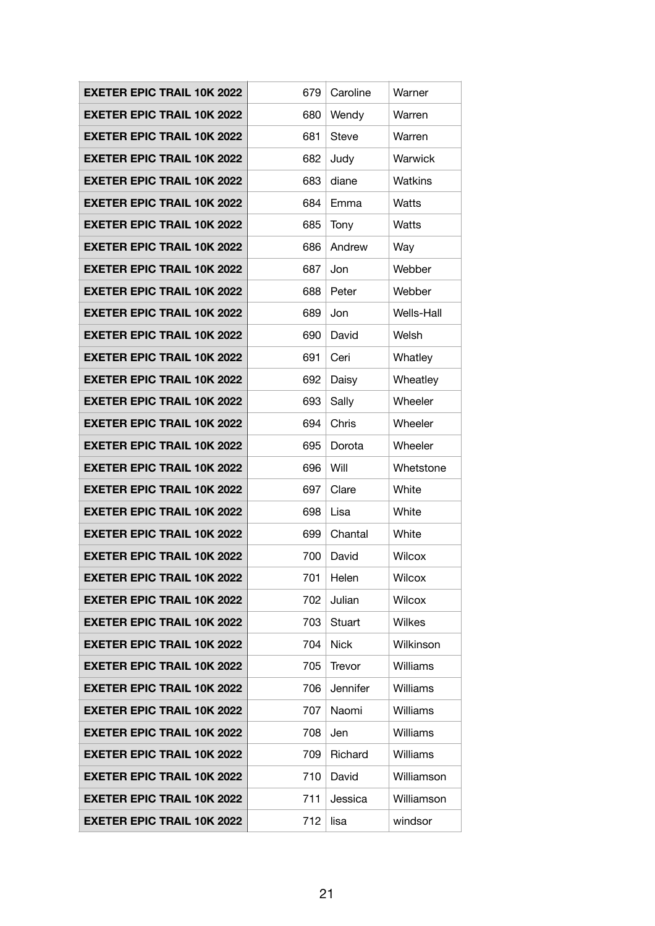| <b>EXETER EPIC TRAIL 10K 2022</b> | 679 | Caroline     | Warner          |
|-----------------------------------|-----|--------------|-----------------|
| <b>EXETER EPIC TRAIL 10K 2022</b> | 680 | Wendy        | Warren          |
| <b>EXETER EPIC TRAIL 10K 2022</b> | 681 | <b>Steve</b> | Warren          |
| <b>EXETER EPIC TRAIL 10K 2022</b> | 682 | Judy         | <b>Warwick</b>  |
| <b>EXETER EPIC TRAIL 10K 2022</b> | 683 | diane        | <b>Watkins</b>  |
| <b>EXETER EPIC TRAIL 10K 2022</b> | 684 | Emma         | Watts           |
| <b>EXETER EPIC TRAIL 10K 2022</b> | 685 | Tony         | Watts           |
| <b>EXETER EPIC TRAIL 10K 2022</b> | 686 | Andrew       | Way             |
| <b>EXETER EPIC TRAIL 10K 2022</b> | 687 | Jon          | Webber          |
| <b>EXETER EPIC TRAIL 10K 2022</b> | 688 | Peter        | Webber          |
| <b>EXETER EPIC TRAIL 10K 2022</b> | 689 | Jon          | Wells-Hall      |
| <b>EXETER EPIC TRAIL 10K 2022</b> | 690 | David        | Welsh           |
| <b>EXETER EPIC TRAIL 10K 2022</b> | 691 | Ceri         | Whatley         |
| <b>EXETER EPIC TRAIL 10K 2022</b> | 692 | Daisy        | Wheatley        |
| <b>EXETER EPIC TRAIL 10K 2022</b> | 693 | Sally        | Wheeler         |
| <b>EXETER EPIC TRAIL 10K 2022</b> | 694 | Chris        | Wheeler         |
| <b>EXETER EPIC TRAIL 10K 2022</b> | 695 | Dorota       | Wheeler         |
| <b>EXETER EPIC TRAIL 10K 2022</b> | 696 | Will         | Whetstone       |
| <b>EXETER EPIC TRAIL 10K 2022</b> | 697 | Clare        | White           |
| <b>EXETER EPIC TRAIL 10K 2022</b> | 698 | Lisa         | White           |
| <b>EXETER EPIC TRAIL 10K 2022</b> | 699 | Chantal      | White           |
| <b>EXETER EPIC TRAIL 10K 2022</b> | 700 | David        | <b>Wilcox</b>   |
| <b>EXETER EPIC TRAIL 10K 2022</b> | 701 | Helen        | Wilcox          |
| <b>EXETER EPIC TRAIL 10K 2022</b> | 702 | Julian       | <b>Wilcox</b>   |
| <b>EXETER EPIC TRAIL 10K 2022</b> | 703 | Stuart       | <b>Wilkes</b>   |
| <b>EXETER EPIC TRAIL 10K 2022</b> | 704 | <b>Nick</b>  | Wilkinson       |
| <b>EXETER EPIC TRAIL 10K 2022</b> | 705 | Trevor       | <b>Williams</b> |
| <b>EXETER EPIC TRAIL 10K 2022</b> | 706 | Jennifer     | <b>Williams</b> |
| <b>EXETER EPIC TRAIL 10K 2022</b> | 707 | Naomi        | <b>Williams</b> |
| <b>EXETER EPIC TRAIL 10K 2022</b> | 708 | Jen          | <b>Williams</b> |
| <b>EXETER EPIC TRAIL 10K 2022</b> | 709 | Richard      | <b>Williams</b> |
| <b>EXETER EPIC TRAIL 10K 2022</b> | 710 | David        | Williamson      |
| <b>EXETER EPIC TRAIL 10K 2022</b> | 711 | Jessica      | Williamson      |
| <b>EXETER EPIC TRAIL 10K 2022</b> | 712 | lisa         | windsor         |